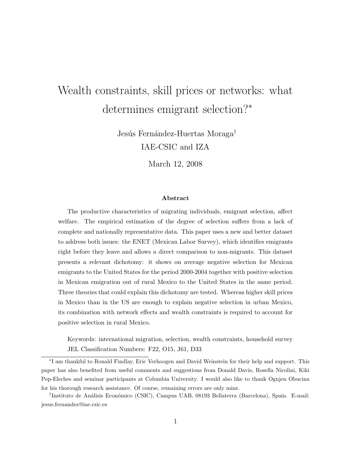# Wealth constraints, skill prices or networks: what determines emigrant selection?<sup>∗</sup>

Jesús Fernández-Huertas Moraga<sup>†</sup> IAE-CSIC and IZA

March 12, 2008

#### Abstract

The productive characteristics of migrating individuals, emigrant selection, affect welfare. The empirical estimation of the degree of selection suffers from a lack of complete and nationally representative data. This paper uses a new and better dataset to address both issues: the ENET (Mexican Labor Survey), which identifies emigrants right before they leave and allows a direct comparison to non-migrants. This dataset presents a relevant dichotomy: it shows on average negative selection for Mexican emigrants to the United States for the period 2000-2004 together with positive selection in Mexican emigration out of rural Mexico to the United States in the same period. Three theories that could explain this dichotomy are tested. Whereas higher skill prices in Mexico than in the US are enough to explain negative selection in urban Mexico, its combination with network effects and wealth constraints is required to account for positive selection in rural Mexico.

Keywords: international migration, selection, wealth constraints, household survey JEL Classification Numbers: F22, O15, J61, D33

∗ I am thankful to Ronald Findlay, Eric Verhoogen and David Weinstein for their help and support. This paper has also benefited from useful comments and suggestions from Donald Davis, Rosella Nicolini, Kiki Pop-Eleches and seminar participants at Columbia University. I would also like to thank Ognjen Obucina for his thorough research assistance. Of course, remaining errors are only mine.

<sup>&</sup>lt;sup>†</sup>Instituto de Análisis Económico (CSIC), Campus UAB, 08193 Bellaterra (Barcelona), Spain. E-mail: jesus.fernandez@iae.csic.es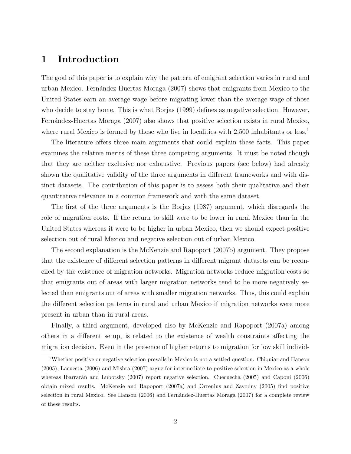### 1 Introduction

The goal of this paper is to explain why the pattern of emigrant selection varies in rural and urban Mexico. Fern´andez-Huertas Moraga (2007) shows that emigrants from Mexico to the United States earn an average wage before migrating lower than the average wage of those who decide to stay home. This is what Borjas (1999) defines as negative selection. However, Fernández-Huertas Moraga (2007) also shows that positive selection exists in rural Mexico, where rural Mexico is formed by those who live in localities with 2,500 inhabitants or less.<sup>1</sup>

The literature offers three main arguments that could explain these facts. This paper examines the relative merits of these three competing arguments. It must be noted though that they are neither exclusive nor exhaustive. Previous papers (see below) had already shown the qualitative validity of the three arguments in different frameworks and with distinct datasets. The contribution of this paper is to assess both their qualitative and their quantitative relevance in a common framework and with the same dataset.

The first of the three arguments is the Borjas (1987) argument, which disregards the role of migration costs. If the return to skill were to be lower in rural Mexico than in the United States whereas it were to be higher in urban Mexico, then we should expect positive selection out of rural Mexico and negative selection out of urban Mexico.

The second explanation is the McKenzie and Rapoport (2007b) argument. They propose that the existence of different selection patterns in different migrant datasets can be reconciled by the existence of migration networks. Migration networks reduce migration costs so that emigrants out of areas with larger migration networks tend to be more negatively selected than emigrants out of areas with smaller migration networks. Thus, this could explain the different selection patterns in rural and urban Mexico if migration networks were more present in urban than in rural areas.

Finally, a third argument, developed also by McKenzie and Rapoport (2007a) among others in a different setup, is related to the existence of wealth constraints affecting the migration decision. Even in the presence of higher returns to migration for low skill individ-

<sup>1</sup>Whether positive or negative selection prevails in Mexico is not a settled question. Chiquiar and Hanson (2005), Lacuesta (2006) and Mishra (2007) argue for intermediate to positive selection in Mexico as a whole whereas Ibarrarán and Lubotsky (2007) report negative selection. Cuecuecha (2005) and Caponi (2006) obtain mixed results. McKenzie and Rapoport (2007a) and Orrenius and Zavodny (2005) find positive selection in rural Mexico. See Hanson (2006) and Fernández-Huertas Moraga (2007) for a complete review of these results.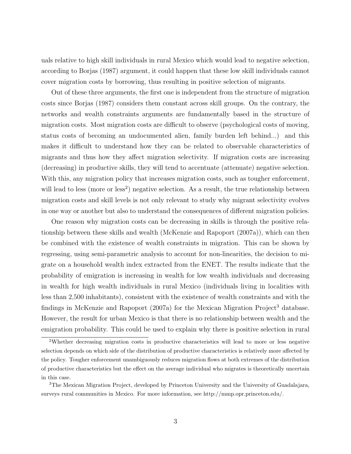uals relative to high skill individuals in rural Mexico which would lead to negative selection, according to Borjas (1987) argument, it could happen that these low skill individuals cannot cover migration costs by borrowing, thus resulting in positive selection of migrants.

Out of these three arguments, the first one is independent from the structure of migration costs since Borjas (1987) considers them constant across skill groups. On the contrary, the networks and wealth constraints arguments are fundamentally based in the structure of migration costs. Most migration costs are difficult to observe (psychological costs of moving, status costs of becoming an undocumented alien, family burden left behind...) and this makes it difficult to understand how they can be related to observable characteristics of migrants and thus how they affect migration selectivity. If migration costs are increasing (decreasing) in productive skills, they will tend to accentuate (attenuate) negative selection. With this, any migration policy that increases migration costs, such as tougher enforcement, will lead to less (more or less<sup>2</sup>) negative selection. As a result, the true relationship between migration costs and skill levels is not only relevant to study why migrant selectivity evolves in one way or another but also to understand the consequences of different migration policies.

One reason why migration costs can be decreasing in skills is through the positive relationship between these skills and wealth (McKenzie and Rapoport (2007a)), which can then be combined with the existence of wealth constraints in migration. This can be shown by regressing, using semi-parametric analysis to account for non-linearities, the decision to migrate on a household wealth index extracted from the ENET. The results indicate that the probability of emigration is increasing in wealth for low wealth individuals and decreasing in wealth for high wealth individuals in rural Mexico (individuals living in localities with less than 2,500 inhabitants), consistent with the existence of wealth constraints and with the findings in McKenzie and Rapoport (2007a) for the Mexican Migration Project<sup>3</sup> database. However, the result for urban Mexico is that there is no relationship between wealth and the emigration probability. This could be used to explain why there is positive selection in rural

<sup>2</sup>Whether decreasing migration costs in productive characteristics will lead to more or less negative selection depends on which side of the distribution of productive characteristics is relatively more affected by the policy. Tougher enforcement unambiguously reduces migration flows at both extremes of the distribution of productive characteristics but the effect on the average individual who migrates is theoretically uncertain in this case.

<sup>3</sup>The Mexican Migration Project, developed by Princeton University and the University of Guadalajara, surveys rural communities in Mexico. For more information, see http://mmp.opr.princeton.edu/.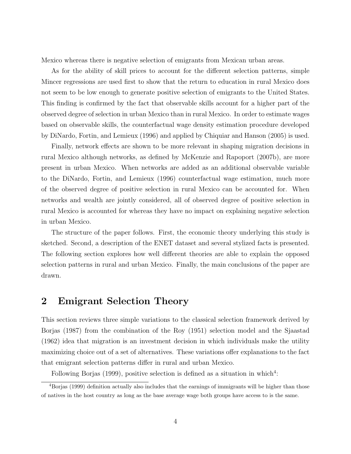Mexico whereas there is negative selection of emigrants from Mexican urban areas.

As for the ability of skill prices to account for the different selection patterns, simple Mincer regressions are used first to show that the return to education in rural Mexico does not seem to be low enough to generate positive selection of emigrants to the United States. This finding is confirmed by the fact that observable skills account for a higher part of the observed degree of selection in urban Mexico than in rural Mexico. In order to estimate wages based on observable skills, the counterfactual wage density estimation procedure developed by DiNardo, Fortin, and Lemieux (1996) and applied by Chiquiar and Hanson (2005) is used.

Finally, network effects are shown to be more relevant in shaping migration decisions in rural Mexico although networks, as defined by McKenzie and Rapoport (2007b), are more present in urban Mexico. When networks are added as an additional observable variable to the DiNardo, Fortin, and Lemieux (1996) counterfactual wage estimation, much more of the observed degree of positive selection in rural Mexico can be accounted for. When networks and wealth are jointly considered, all of observed degree of positive selection in rural Mexico is accounted for whereas they have no impact on explaining negative selection in urban Mexico.

The structure of the paper follows. First, the economic theory underlying this study is sketched. Second, a description of the ENET dataset and several stylized facts is presented. The following section explores how well different theories are able to explain the opposed selection patterns in rural and urban Mexico. Finally, the main conclusions of the paper are drawn.

### 2 Emigrant Selection Theory

This section reviews three simple variations to the classical selection framework derived by Borjas (1987) from the combination of the Roy (1951) selection model and the Sjaastad (1962) idea that migration is an investment decision in which individuals make the utility maximizing choice out of a set of alternatives. These variations offer explanations to the fact that emigrant selection patterns differ in rural and urban Mexico.

Following Borjas  $(1999)$ , positive selection is defined as a situation in which<sup>4</sup>:

<sup>&</sup>lt;sup>4</sup>Borjas (1999) definition actually also includes that the earnings of immigrants will be higher than those of natives in the host country as long as the base average wage both groups have access to is the same.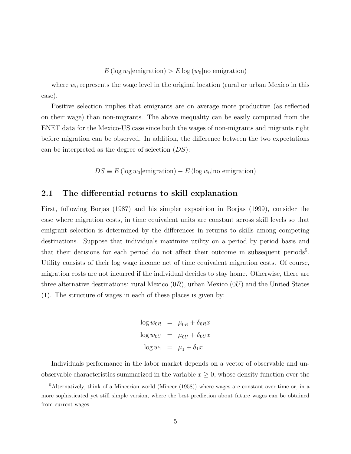$E(\log w_0|\text{emigration}) > E \log (w_0|\text{no emigration})$ 

where  $w_0$  represents the wage level in the original location (rural or urban Mexico in this case).

Positive selection implies that emigrants are on average more productive (as reflected on their wage) than non-migrants. The above inequality can be easily computed from the ENET data for the Mexico-US case since both the wages of non-migrants and migrants right before migration can be observed. In addition, the difference between the two expectations can be interpreted as the degree of selection  $(DS)$ :

 $DS \equiv E (\log w_0 | \text{emigration}) - E (\log w_0 | \text{no emigration})$ 

### 2.1 The differential returns to skill explanation

First, following Borjas (1987) and his simpler exposition in Borjas (1999), consider the case where migration costs, in time equivalent units are constant across skill levels so that emigrant selection is determined by the differences in returns to skills among competing destinations. Suppose that individuals maximize utility on a period by period basis and that their decisions for each period do not affect their outcome in subsequent periods<sup>5</sup>. Utility consists of their log wage income net of time equivalent migration costs. Of course, migration costs are not incurred if the individual decides to stay home. Otherwise, there are three alternative destinations: rural Mexico  $(0R)$ , urban Mexico  $(0U)$  and the United States (1). The structure of wages in each of these places is given by:

```
\log w_{0R} = \mu_{0R} + \delta_{0R}x\log w_{0U} = \mu_{0U} + \delta_{0U} x\log w_1 = \mu_1 + \delta_1 x
```
Individuals performance in the labor market depends on a vector of observable and unobservable characteristics summarized in the variable  $x \geq 0$ , whose density function over the

 $5$ Alternatively, think of a Mincerian world (Mincer (1958)) where wages are constant over time or, in a more sophisticated yet still simple version, where the best prediction about future wages can be obtained from current wages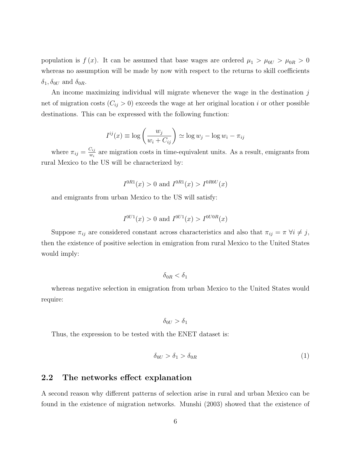population is  $f(x)$ . It can be assumed that base wages are ordered  $\mu_1 > \mu_{0U} > \mu_{0R} > 0$ whereas no assumption will be made by now with respect to the returns to skill coefficients  $\delta_1, \delta_{0U}$  and  $\delta_{0R}$ .

An income maximizing individual will migrate whenever the wage in the destination  $j$ net of migration costs  $(C_{ij} > 0)$  exceeds the wage at her original location i or other possible destinations. This can be expressed with the following function:

$$
I^{ij}(x) \equiv \log\left(\frac{w_j}{w_i + C_{ij}}\right) \simeq \log w_j - \log w_i - \pi_{ij}
$$

where  $\pi_{ij} = \frac{C_{ij}}{w_i}$  $\frac{\partial u_j}{\partial u_i}$  are migration costs in time-equivalent units. As a result, emigrants from rural Mexico to the US will be characterized by:

$$
I^{0R1}(x) > 0
$$
 and  $I^{0R1}(x) > I^{0R0U}(x)$ 

and emigrants from urban Mexico to the US will satisfy:

$$
I^{0U1}(x) > 0
$$
 and  $I^{0U1}(x) > I^{0U0R}(x)$ 

Suppose  $\pi_{ij}$  are considered constant across characteristics and also that  $\pi_{ij} = \pi \ \forall i \neq j$ , then the existence of positive selection in emigration from rural Mexico to the United States would imply:

 $\delta_{0B} < \delta_1$ 

whereas negative selection in emigration from urban Mexico to the United States would require:

 $\delta_{0U} > \delta_1$ 

Thus, the expression to be tested with the ENET dataset is:

$$
\delta_{0U} > \delta_1 > \delta_{0R} \tag{1}
$$

### 2.2 The networks effect explanation

A second reason why different patterns of selection arise in rural and urban Mexico can be found in the existence of migration networks. Munshi (2003) showed that the existence of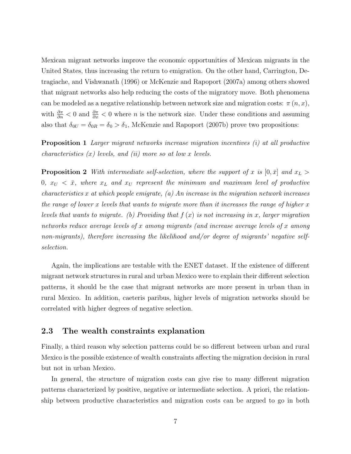Mexican migrant networks improve the economic opportunities of Mexican migrants in the United States, thus increasing the return to emigration. On the other hand, Carrington, Detragiache, and Vishwanath (1996) or McKenzie and Rapoport (2007a) among others showed that migrant networks also help reducing the costs of the migratory move. Both phenomena can be modeled as a negative relationship between network size and migration costs:  $\pi(n, x)$ , with  $\frac{\partial \pi}{\partial n}$  < 0 and  $\frac{\partial \pi}{\partial x}$  < 0 where *n* is the network size. Under these conditions and assuming also that  $\delta_{0U} = \delta_{0R} = \delta_0 > \delta_1$ , McKenzie and Rapoport (2007b) prove two propositions:

Proposition 1 Larger migrant networks increase migration incentives (i) at all productive characteristics  $(x)$  levels, and  $(ii)$  more so at low x levels.

**Proposition 2** With intermediate self-selection, where the support of x is  $[0, \bar{x}]$  and  $x_L >$ 0,  $x_U < \bar{x}$ , where  $x_L$  and  $x_U$  represent the minimum and maximum level of productive characteristics x at which people emigrate, (a) An increase in the migration network increases the range of lower x levels that wants to migrate more than it increases the range of higher  $x$ levels that wants to migrate. (b) Providing that  $f(x)$  is not increasing in x, larger migration networks reduce average levels of x among migrants (and increase average levels of x among non-migrants), therefore increasing the likelihood and/or degree of migrants' negative selfselection.

Again, the implications are testable with the ENET dataset. If the existence of different migrant network structures in rural and urban Mexico were to explain their different selection patterns, it should be the case that migrant networks are more present in urban than in rural Mexico. In addition, caeteris paribus, higher levels of migration networks should be correlated with higher degrees of negative selection.

### 2.3 The wealth constraints explanation

Finally, a third reason why selection patterns could be so different between urban and rural Mexico is the possible existence of wealth constraints affecting the migration decision in rural but not in urban Mexico.

In general, the structure of migration costs can give rise to many different migration patterns characterized by positive, negative or intermediate selection. A priori, the relationship between productive characteristics and migration costs can be argued to go in both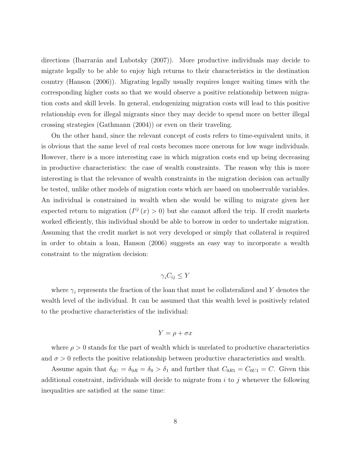directions (Ibarrarán and Lubotsky  $(2007)$ ). More productive individuals may decide to migrate legally to be able to enjoy high returns to their characteristics in the destination country (Hanson (2006)). Migrating legally usually requires longer waiting times with the corresponding higher costs so that we would observe a positive relationship between migration costs and skill levels. In general, endogenizing migration costs will lead to this positive relationship even for illegal migrants since they may decide to spend more on better illegal crossing strategies (Gathmann (2004)) or even on their traveling.

On the other hand, since the relevant concept of costs refers to time-equivalent units, it is obvious that the same level of real costs becomes more onerous for low wage individuals. However, there is a more interesting case in which migration costs end up being decreasing in productive characteristics: the case of wealth constraints. The reason why this is more interesting is that the relevance of wealth constraints in the migration decision can actually be tested, unlike other models of migration costs which are based on unobservable variables. An individual is constrained in wealth when she would be willing to migrate given her expected return to migration  $(I^{ij}(x) > 0)$  but she cannot afford the trip. If credit markets worked efficiently, this individual should be able to borrow in order to undertake migration. Assuming that the credit market is not very developed or simply that collateral is required in order to obtain a loan, Hanson (2006) suggests an easy way to incorporate a wealth constraint to the migration decision:

### $\gamma_i C_{ii} \leq Y$

where  $\gamma_i$  represents the fraction of the loan that must be collateralized and Y denotes the wealth level of the individual. It can be assumed that this wealth level is positively related to the productive characteristics of the individual:

$$
Y = \rho + \sigma x
$$

where  $\rho > 0$  stands for the part of wealth which is unrelated to productive characteristics and  $\sigma > 0$  reflects the positive relationship between productive characteristics and wealth.

Assume again that  $\delta_{0U} = \delta_{0R} = \delta_0 > \delta_1$  and further that  $C_{0R1} = C_{0U1} = C$ . Given this additional constraint, individuals will decide to migrate from  $i$  to  $j$  whenever the following inequalities are satisfied at the same time: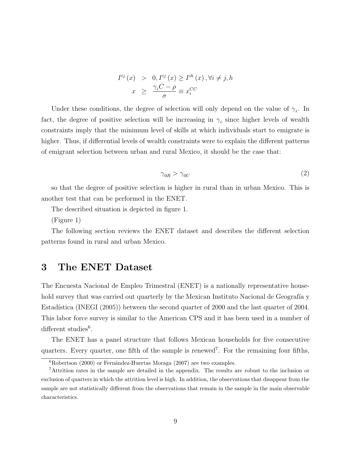$$
I^{ij}(x) > 0, I^{ij}(x) \ge I^{ih}(x), \forall i \ne j, h
$$

$$
x \ge \frac{\gamma_i C - \rho}{\sigma} \equiv x_i^{CC}
$$

Under these conditions, the degree of selection will only depend on the value of  $\gamma_i$ . In fact, the degree of positive selection will be increasing in  $\gamma_i$  since higher levels of wealth constraints imply that the minimum level of skills at which individuals start to emigrate is higher. Thus, if differential levels of wealth constraints were to explain the different patterns of emigrant selection between urban and rural Mexico, it should be the case that:

$$
\gamma_{0R} > \gamma_{0U} \tag{2}
$$

so that the degree of positive selection is higher in rural than in urban Mexico. This is another test that can be performed in the ENET.

The described situation is depicted in figure 1.

(Figure 1)

The following section reviews the ENET dataset and describes the different selection patterns found in rural and urban Mexico.

# 3 The ENET Dataset

The Encuesta Nacional de Empleo Trimestral (ENET) is a nationally representative household survey that was carried out quarterly by the Mexican Instituto Nacional de Geografía y Estadística (INEGI (2005)) between the second quarter of 2000 and the last quarter of 2004. This labor force survey is similar to the American CPS and it has been used in a number of different studies<sup>6</sup>.

The ENET has a panel structure that follows Mexican households for five consecutive quarters. Every quarter, one fifth of the sample is renewed<sup>7</sup>. For the remaining four fifths,

 ${}^{6}$ Robertson (2000) or Fernández-Huertas Moraga (2007) are two examples.

<sup>7</sup>Attrition rates in the sample are detailed in the appendix. The results are robust to the inclusion or exclusion of quarters in which the attrition level is high. In addition, the observations that disappear from the sample are not statistically different from the observations that remain in the sample in the main observable characteristics.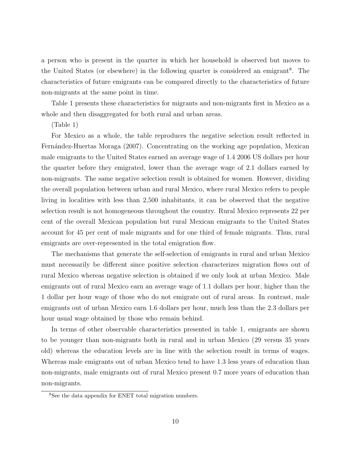a person who is present in the quarter in which her household is observed but moves to the United States (or elsewhere) in the following quarter is considered an emigrant<sup>8</sup>. The characteristics of future emigrants can be compared directly to the characteristics of future non-migrants at the same point in time.

Table 1 presents these characteristics for migrants and non-migrants first in Mexico as a whole and then disaggregated for both rural and urban areas.

(Table 1)

For Mexico as a whole, the table reproduces the negative selection result reflected in Fernández-Huertas Moraga (2007). Concentrating on the working age population, Mexican male emigrants to the United States earned an average wage of 1.4 2006 US dollars per hour the quarter before they emigrated, lower than the average wage of 2.1 dollars earned by non-migrants. The same negative selection result is obtained for women. However, dividing the overall population between urban and rural Mexico, where rural Mexico refers to people living in localities with less than 2,500 inhabitants, it can be observed that the negative selection result is not homogeneous throughout the country. Rural Mexico represents 22 per cent of the overall Mexican population but rural Mexican emigrants to the United States account for 45 per cent of male migrants and for one third of female migrants. Thus, rural emigrants are over-represented in the total emigration flow.

The mechanisms that generate the self-selection of emigrants in rural and urban Mexico must necessarily be different since positive selection characterizes migration flows out of rural Mexico whereas negative selection is obtained if we only look at urban Mexico. Male emigrants out of rural Mexico earn an average wage of 1.1 dollars per hour, higher than the 1 dollar per hour wage of those who do not emigrate out of rural areas. In contrast, male emigrants out of urban Mexico earn 1.6 dollars per hour, much less than the 2.3 dollars per hour usual wage obtained by those who remain behind.

In terms of other observable characteristics presented in table 1, emigrants are shown to be younger than non-migrants both in rural and in urban Mexico (29 versus 35 years old) whereas the education levels are in line with the selection result in terms of wages. Whereas male emigrants out of urban Mexico tend to have 1.3 less years of education than non-migrants, male emigrants out of rural Mexico present 0.7 more years of education than non-migrants.

<sup>8</sup>See the data appendix for ENET total migration numbers.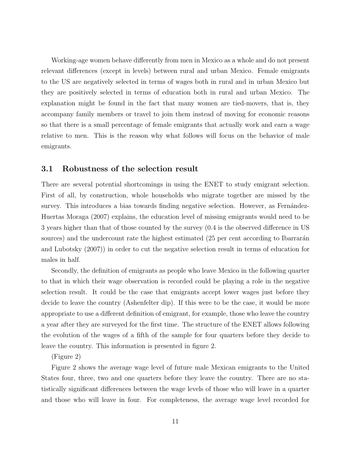Working-age women behave differently from men in Mexico as a whole and do not present relevant differences (except in levels) between rural and urban Mexico. Female emigrants to the US are negatively selected in terms of wages both in rural and in urban Mexico but they are positively selected in terms of education both in rural and urban Mexico. The explanation might be found in the fact that many women are tied-movers, that is, they accompany family members or travel to join them instead of moving for economic reasons so that there is a small percentage of female emigrants that actually work and earn a wage relative to men. This is the reason why what follows will focus on the behavior of male emigrants.

### 3.1 Robustness of the selection result

There are several potential shortcomings in using the ENET to study emigrant selection. First of all, by construction, whole households who migrate together are missed by the survey. This introduces a bias towards finding negative selection. However, as Fernández-Huertas Moraga (2007) explains, the education level of missing emigrants would need to be 3 years higher than that of those counted by the survey (0.4 is the observed difference in US sources) and the undercount rate the highest estimated (25 per cent according to Ibarrarán and Lubotsky (2007)) in order to cut the negative selection result in terms of education for males in half.

Secondly, the definition of emigrants as people who leave Mexico in the following quarter to that in which their wage observation is recorded could be playing a role in the negative selection result. It could be the case that emigrants accept lower wages just before they decide to leave the country (Ashenfelter dip). If this were to be the case, it would be more appropriate to use a different definition of emigrant, for example, those who leave the country a year after they are surveyed for the first time. The structure of the ENET allows following the evolution of the wages of a fifth of the sample for four quarters before they decide to leave the country. This information is presented in figure 2.

#### (Figure 2)

Figure 2 shows the average wage level of future male Mexican emigrants to the United States four, three, two and one quarters before they leave the country. There are no statistically significant differences between the wage levels of those who will leave in a quarter and those who will leave in four. For completeness, the average wage level recorded for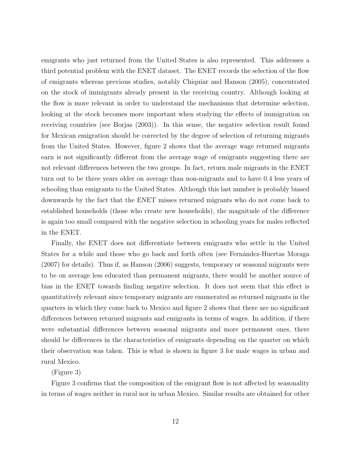emigrants who just returned from the United States is also represented. This addresses a third potential problem with the ENET dataset. The ENET records the selection of the flow of emigrants whereas previous studies, notably Chiquiar and Hanson (2005), concentrated on the stock of immigrants already present in the receiving country. Although looking at the flow is more relevant in order to understand the mechanisms that determine selection, looking at the stock becomes more important when studying the effects of immigration on receiving countries (see Borjas (2003)). In this sense, the negative selection result found for Mexican emigration should be corrected by the degree of selection of returning migrants from the United States. However, figure 2 shows that the average wage returned migrants earn is not significantly different from the average wage of emigrants suggesting there are not relevant differences between the two groups. In fact, return male migrants in the ENET turn out to be three years older on average than non-migrants and to have 0.4 less years of schooling than emigrants to the United States. Although this last number is probably biased downwards by the fact that the ENET misses returned migrants who do not come back to established households (those who create new households), the magnitude of the difference is again too small compared with the negative selection in schooling years for males reflected in the ENET.

Finally, the ENET does not differentiate between emigrants who settle in the United States for a while and those who go back and forth often (see Fernandez-Huertas Moraga (2007) for details). Thus if, as Hanson (2006) suggests, temporary or seasonal migrants were to be on average less educated than permanent migrants, there would be another source of bias in the ENET towards finding negative selection. It does not seem that this effect is quantitatively relevant since temporary migrants are enumerated as returned migrants in the quarters in which they come back to Mexico and figure 2 shows that there are no significant differences between returned migrants and emigrants in terms of wages. In addition, if there were substantial differences between seasonal migrants and more permanent ones, there should be differences in the characteristics of emigrants depending on the quarter on which their observation was taken. This is what is shown in figure 3 for male wages in urban and rural Mexico.

(Figure 3)

Figure 3 confirms that the composition of the emigrant flow is not affected by seasonality in terms of wages neither in rural nor in urban Mexico. Similar results are obtained for other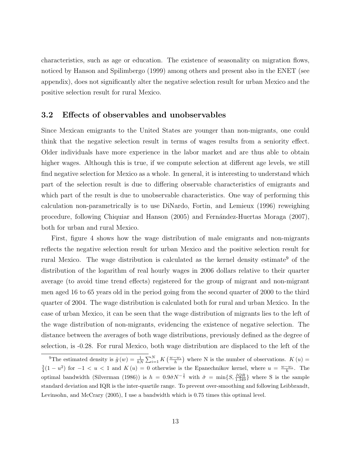characteristics, such as age or education. The existence of seasonality on migration flows, noticed by Hanson and Spilimbergo (1999) among others and present also in the ENET (see appendix), does not significantly alter the negative selection result for urban Mexico and the positive selection result for rural Mexico.

### 3.2 Effects of observables and unobservables

Since Mexican emigrants to the United States are younger than non-migrants, one could think that the negative selection result in terms of wages results from a seniority effect. Older individuals have more experience in the labor market and are thus able to obtain higher wages. Although this is true, if we compute selection at different age levels, we still find negative selection for Mexico as a whole. In general, it is interesting to understand which part of the selection result is due to differing observable characteristics of emigrants and which part of the result is due to unobservable characteristics. One way of performing this calculation non-parametrically is to use DiNardo, Fortin, and Lemieux (1996) reweighing procedure, following Chiquiar and Hanson (2005) and Fernández-Huertas Moraga (2007), both for urban and rural Mexico.

First, figure 4 shows how the wage distribution of male emigrants and non-migrants reflects the negative selection result for urban Mexico and the positive selection result for rural Mexico. The wage distribution is calculated as the kernel density estimate<sup>9</sup> of the distribution of the logarithm of real hourly wages in 2006 dollars relative to their quarter average (to avoid time trend effects) registered for the group of migrant and non-migrant men aged 16 to 65 years old in the period going from the second quarter of 2000 to the third quarter of 2004. The wage distribution is calculated both for rural and urban Mexico. In the case of urban Mexico, it can be seen that the wage distribution of migrants lies to the left of the wage distribution of non-migrants, evidencing the existence of negative selection. The distance between the averages of both wage distributions, previously defined as the degree of selection, is -0.28. For rural Mexico, both wage distribution are displaced to the left of the

<sup>&</sup>lt;sup>9</sup>The estimated density is  $\hat{g}(w) = \frac{1}{hN} \sum_{i=1}^{N} K(\frac{w-w_i}{h})$  where N is the number of observations.  $K(u)$  $\frac{3}{4}(1-u^2)$  for  $-1 < u < 1$  and  $K(u) = 0$  otherwise is the Epanechnikov kernel, where  $u = \frac{w-w_i}{h}$ . The optimal bandwidth (Silverman (1986)) is  $h = 0.9 \hat{\sigma} N^{-\frac{1}{5}}$  with  $\hat{\sigma} = \min\{S, \frac{IQR}{1.349}\}\$  where S is the sample standard deviation and IQR is the inter-quartile range. To prevent over-smoothing and following Leibbrandt, Levinsohn, and McCrary (2005), I use a bandwidth which is 0.75 times this optimal level.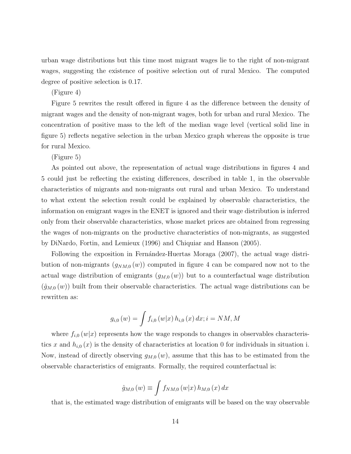urban wage distributions but this time most migrant wages lie to the right of non-migrant wages, suggesting the existence of positive selection out of rural Mexico. The computed degree of positive selection is 0.17.

(Figure 4)

Figure 5 rewrites the result offered in figure 4 as the difference between the density of migrant wages and the density of non-migrant wages, both for urban and rural Mexico. The concentration of positive mass to the left of the median wage level (vertical solid line in figure 5) reflects negative selection in the urban Mexico graph whereas the opposite is true for rural Mexico.

(Figure 5)

As pointed out above, the representation of actual wage distributions in figures 4 and 5 could just be reflecting the existing differences, described in table 1, in the observable characteristics of migrants and non-migrants out rural and urban Mexico. To understand to what extent the selection result could be explained by observable characteristics, the information on emigrant wages in the ENET is ignored and their wage distribution is inferred only from their observable characteristics, whose market prices are obtained from regressing the wages of non-migrants on the productive characteristics of non-migrants, as suggested by DiNardo, Fortin, and Lemieux (1996) and Chiquiar and Hanson (2005).

Following the exposition in Fernández-Huertas Moraga (2007), the actual wage distribution of non-migrants  $(g_{NM,0}(w))$  computed in figure 4 can be compared now not to the actual wage distribution of emigrants  $(g_{M,0}(w))$  but to a counterfactual wage distribution  $(\hat{g}_{M,0}(w))$  built from their observable characteristics. The actual wage distributions can be rewritten as:

$$
g_{i,0}(w) = \int f_{i,0}(w|x) h_{i,0}(x) dx; i = NM, M
$$

where  $f_{i,0}(w|x)$  represents how the wage responds to changes in observables characteristics x and  $h_{i,0}(x)$  is the density of characteristics at location 0 for individuals in situation i. Now, instead of directly observing  $g_{M,0}(w)$ , assume that this has to be estimated from the observable characteristics of emigrants. Formally, the required counterfactual is:

$$
\hat{g}_{M,0}(w) \equiv \int f_{NM,0}(w|x) \, h_{M,0}(x) \, dx
$$

that is, the estimated wage distribution of emigrants will be based on the way observable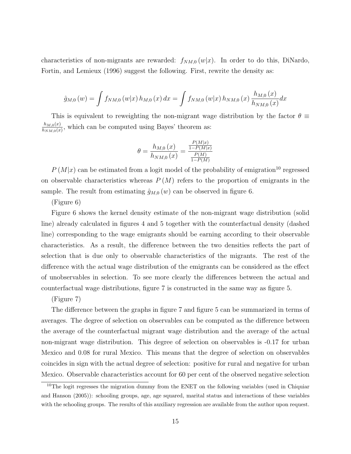characteristics of non-migrants are rewarded:  $f_{NM,0}(w|x)$ . In order to do this, DiNardo, Fortin, and Lemieux (1996) suggest the following. First, rewrite the density as:

$$
\hat{g}_{M,0}(w) = \int f_{NM,0}(w|x) h_{M,0}(x) dx = \int f_{NM,0}(w|x) h_{NM,0}(x) \frac{h_{M,0}(x)}{h_{NM,0}(x)} dx
$$

This is equivalent to reweighting the non-migrant wage distribution by the factor  $\theta \equiv$  $h_{M,0}(x)$  $\frac{n_{M,0}(x)}{n_{NM,0}(x)}$ , which can be computed using Bayes' theorem as:

$$
\theta = \frac{h_{M,0} (x)}{h_{NM,0} (x)} = \frac{\frac{P(M|x)}{1 - P(M|x)}}{\frac{P(M)}{1 - P(M)}}
$$

 $P(M|x)$  can be estimated from a logit model of the probability of emigration<sup>10</sup> regressed on observable characteristics whereas  $P(M)$  refers to the proportion of emigrants in the sample. The result from estimating  $\hat{g}_{M,0}(w)$  can be observed in figure 6.

(Figure 6)

Figure 6 shows the kernel density estimate of the non-migrant wage distribution (solid line) already calculated in figures 4 and 5 together with the counterfactual density (dashed line) corresponding to the wage emigrants should be earning according to their observable characteristics. As a result, the difference between the two densities reflects the part of selection that is due only to observable characteristics of the migrants. The rest of the difference with the actual wage distribution of the emigrants can be considered as the effect of unobservables in selection. To see more clearly the differences between the actual and counterfactual wage distributions, figure 7 is constructed in the same way as figure 5.

#### (Figure 7)

The difference between the graphs in figure 7 and figure 5 can be summarized in terms of averages. The degree of selection on observables can be computed as the difference between the average of the counterfactual migrant wage distribution and the average of the actual non-migrant wage distribution. This degree of selection on observables is -0.17 for urban Mexico and 0.08 for rural Mexico. This means that the degree of selection on observables coincides in sign with the actual degree of selection: positive for rural and negative for urban Mexico. Observable characteristics account for 60 per cent of the observed negative selection

<sup>&</sup>lt;sup>10</sup>The logit regresses the migration dummy from the ENET on the following variables (used in Chiquiar and Hanson (2005)): schooling groups, age, age squared, marital status and interactions of these variables with the schooling groups. The results of this auxiliary regression are available from the author upon request.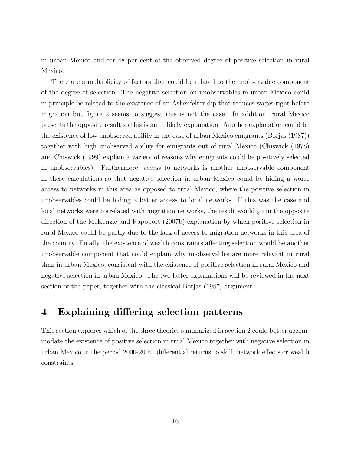in urban Mexico and for 48 per cent of the observed degree of positive selection in rural Mexico.

There are a multiplicity of factors that could be related to the unobservable component of the degree of selection. The negative selection on unobservables in urban Mexico could in principle be related to the existence of an Ashenfelter dip that reduces wages right before migration but figure 2 seems to suggest this is not the case. In addition, rural Mexico presents the opposite result so this is an unlikely explanation. Another explanation could be the existence of low unobserved ability in the case of urban Mexico emigrants (Borjas (1987)) together with high unobserved ability for emigrants out of rural Mexico (Chiswick (1978) and Chiswick (1999) explain a variety of reasons why emigrants could be positively selected in unobservables). Furthermore, access to networks is another unobservable component in these calculations so that negative selection in urban Mexico could be hiding a worse access to networks in this area as opposed to rural Mexico, where the positive selection in unobservables could be hiding a better access to local networks. If this was the case and local networks were correlated with migration networks, the result would go in the opposite direction of the McKenzie and Rapoport (2007b) explanation by which positive selection in rural Mexico could be partly due to the lack of access to migration networks in this area of the country. Finally, the existence of wealth constraints affecting selection would be another unobservable component that could explain why unobservables are more relevant in rural than in urban Mexico, consistent with the existence of positive selection in rural Mexico and negative selection in urban Mexico. The two latter explanations will be reviewed in the next section of the paper, together with the classical Borjas (1987) argument.

### 4 Explaining differing selection patterns

This section explores which of the three theories summarized in section 2 could better accommodate the existence of positive selection in rural Mexico together with negative selection in urban Mexico in the period 2000-2004: differential returns to skill, network effects or wealth constraints.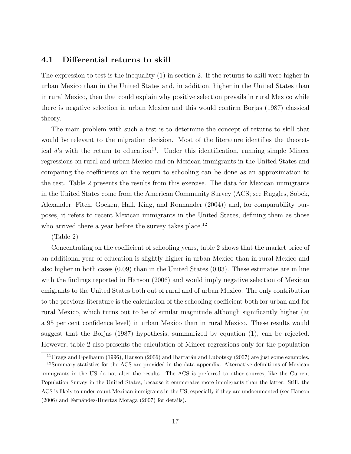### 4.1 Differential returns to skill

The expression to test is the inequality (1) in section 2. If the returns to skill were higher in urban Mexico than in the United States and, in addition, higher in the United States than in rural Mexico, then that could explain why positive selection prevails in rural Mexico while there is negative selection in urban Mexico and this would confirm Borjas (1987) classical theory.

The main problem with such a test is to determine the concept of returns to skill that would be relevant to the migration decision. Most of the literature identifies the theoretical  $\delta$ 's with the return to education<sup>11</sup>. Under this identification, running simple Mincer regressions on rural and urban Mexico and on Mexican immigrants in the United States and comparing the coefficients on the return to schooling can be done as an approximation to the test. Table 2 presents the results from this exercise. The data for Mexican immigrants in the United States come from the American Community Survey (ACS; see Ruggles, Sobek, Alexander, Fitch, Goeken, Hall, King, and Ronnander (2004)) and, for comparability purposes, it refers to recent Mexican immigrants in the United States, defining them as those who arrived there a year before the survey takes place.<sup>12</sup>

#### (Table 2)

Concentrating on the coefficient of schooling years, table 2 shows that the market price of an additional year of education is slightly higher in urban Mexico than in rural Mexico and also higher in both cases (0.09) than in the United States (0.03). These estimates are in line with the findings reported in Hanson (2006) and would imply negative selection of Mexican emigrants to the United States both out of rural and of urban Mexico. The only contribution to the previous literature is the calculation of the schooling coefficient both for urban and for rural Mexico, which turns out to be of similar magnitude although significantly higher (at a 95 per cent confidence level) in urban Mexico than in rural Mexico. These results would suggest that the Borjas (1987) hypothesis, summarized by equation (1), can be rejected. However, table 2 also presents the calculation of Mincer regressions only for the population

<sup>&</sup>lt;sup>11</sup>Cragg and Epelbaum (1996), Hanson (2006) and Ibarrarán and Lubotsky (2007) are just some examples.

<sup>&</sup>lt;sup>12</sup>Summary statistics for the ACS are provided in the data appendix. Alternative definitions of Mexican immigrants in the US do not alter the results. The ACS is preferred to other sources, like the Current Population Survey in the United States, because it enumerates more immigrants than the latter. Still, the ACS is likely to under-count Mexican immigrants in the US, especially if they are undocumented (see Hanson  $(2006)$  and Fernández-Huertas Moraga  $(2007)$  for details).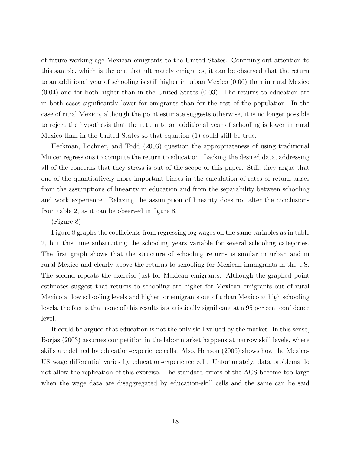of future working-age Mexican emigrants to the United States. Confining out attention to this sample, which is the one that ultimately emigrates, it can be observed that the return to an additional year of schooling is still higher in urban Mexico (0.06) than in rural Mexico (0.04) and for both higher than in the United States (0.03). The returns to education are in both cases significantly lower for emigrants than for the rest of the population. In the case of rural Mexico, although the point estimate suggests otherwise, it is no longer possible to reject the hypothesis that the return to an additional year of schooling is lower in rural Mexico than in the United States so that equation (1) could still be true.

Heckman, Lochner, and Todd (2003) question the appropriateness of using traditional Mincer regressions to compute the return to education. Lacking the desired data, addressing all of the concerns that they stress is out of the scope of this paper. Still, they argue that one of the quantitatively more important biases in the calculation of rates of return arises from the assumptions of linearity in education and from the separability between schooling and work experience. Relaxing the assumption of linearity does not alter the conclusions from table 2, as it can be observed in figure 8.

#### (Figure 8)

Figure 8 graphs the coefficients from regressing log wages on the same variables as in table 2, but this time substituting the schooling years variable for several schooling categories. The first graph shows that the structure of schooling returns is similar in urban and in rural Mexico and clearly above the returns to schooling for Mexican immigrants in the US. The second repeats the exercise just for Mexican emigrants. Although the graphed point estimates suggest that returns to schooling are higher for Mexican emigrants out of rural Mexico at low schooling levels and higher for emigrants out of urban Mexico at high schooling levels, the fact is that none of this results is statistically significant at a 95 per cent confidence level.

It could be argued that education is not the only skill valued by the market. In this sense, Borjas (2003) assumes competition in the labor market happens at narrow skill levels, where skills are defined by education-experience cells. Also, Hanson (2006) shows how the Mexico-US wage differential varies by education-experience cell. Unfortunately, data problems do not allow the replication of this exercise. The standard errors of the ACS become too large when the wage data are disaggregated by education-skill cells and the same can be said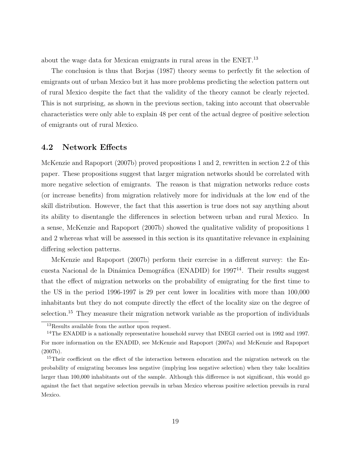about the wage data for Mexican emigrants in rural areas in the ENET.<sup>13</sup>

The conclusion is thus that Borjas (1987) theory seems to perfectly fit the selection of emigrants out of urban Mexico but it has more problems predicting the selection pattern out of rural Mexico despite the fact that the validity of the theory cannot be clearly rejected. This is not surprising, as shown in the previous section, taking into account that observable characteristics were only able to explain 48 per cent of the actual degree of positive selection of emigrants out of rural Mexico.

### 4.2 Network Effects

McKenzie and Rapoport (2007b) proved propositions 1 and 2, rewritten in section 2.2 of this paper. These propositions suggest that larger migration networks should be correlated with more negative selection of emigrants. The reason is that migration networks reduce costs (or increase benefits) from migration relatively more for individuals at the low end of the skill distribution. However, the fact that this assertion is true does not say anything about its ability to disentangle the differences in selection between urban and rural Mexico. In a sense, McKenzie and Rapoport (2007b) showed the qualitative validity of propositions 1 and 2 whereas what will be assessed in this section is its quantitative relevance in explaining differing selection patterns.

McKenzie and Rapoport (2007b) perform their exercise in a different survey: the Encuesta Nacional de la Dinámica Demográfica (ENADID) for  $1997^{14}$ . Their results suggest that the effect of migration networks on the probability of emigrating for the first time to the US in the period 1996-1997 is 29 per cent lower in localities with more than 100,000 inhabitants but they do not compute directly the effect of the locality size on the degree of selection.<sup>15</sup> They measure their migration network variable as the proportion of individuals

<sup>&</sup>lt;sup>13</sup>Results available from the author upon request.

<sup>&</sup>lt;sup>14</sup>The ENADID is a nationally representative household survey that INEGI carried out in 1992 and 1997. For more information on the ENADID, see McKenzie and Rapoport (2007a) and McKenzie and Rapoport (2007b).

<sup>&</sup>lt;sup>15</sup>Their coefficient on the effect of the interaction between education and the migration network on the probability of emigrating becomes less negative (implying less negative selection) when they take localities larger than 100,000 inhabitants out of the sample. Although this difference is not significant, this would go against the fact that negative selection prevails in urban Mexico whereas positive selection prevails in rural Mexico.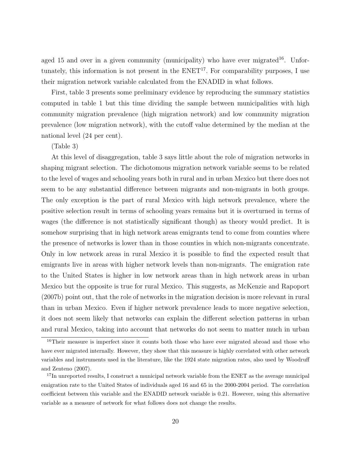aged 15 and over in a given community (municipality) who have ever migrated<sup>16</sup>. Unfortunately, this information is not present in the  $ENET<sup>17</sup>$ . For comparability purposes, I use their migration network variable calculated from the ENADID in what follows.

First, table 3 presents some preliminary evidence by reproducing the summary statistics computed in table 1 but this time dividing the sample between municipalities with high community migration prevalence (high migration network) and low community migration prevalence (low migration network), with the cutoff value determined by the median at the national level (24 per cent).

#### (Table 3)

At this level of disaggregation, table 3 says little about the role of migration networks in shaping migrant selection. The dichotomous migration network variable seems to be related to the level of wages and schooling years both in rural and in urban Mexico but there does not seem to be any substantial difference between migrants and non-migrants in both groups. The only exception is the part of rural Mexico with high network prevalence, where the positive selection result in terms of schooling years remains but it is overturned in terms of wages (the difference is not statistically significant though) as theory would predict. It is somehow surprising that in high network areas emigrants tend to come from counties where the presence of networks is lower than in those counties in which non-migrants concentrate. Only in low network areas in rural Mexico it is possible to find the expected result that emigrants live in areas with higher network levels than non-migrants. The emigration rate to the United States is higher in low network areas than in high network areas in urban Mexico but the opposite is true for rural Mexico. This suggests, as McKenzie and Rapoport (2007b) point out, that the role of networks in the migration decision is more relevant in rural than in urban Mexico. Even if higher network prevalence leads to more negative selection, it does not seem likely that networks can explain the different selection patterns in urban and rural Mexico, taking into account that networks do not seem to matter much in urban

<sup>&</sup>lt;sup>16</sup>Their measure is imperfect since it counts both those who have ever migrated abroad and those who have ever migrated internally. However, they show that this measure is highly correlated with other network variables and instruments used in the literature, like the 1924 state migration rates, also used by Woodruff and Zenteno (2007).

<sup>&</sup>lt;sup>17</sup>In unreported results, I construct a municipal network variable from the ENET as the average municipal emigration rate to the United States of individuals aged 16 and 65 in the 2000-2004 period. The correlation coefficient between this variable and the ENADID network variable is 0.21. However, using this alternative variable as a measure of network for what follows does not change the results.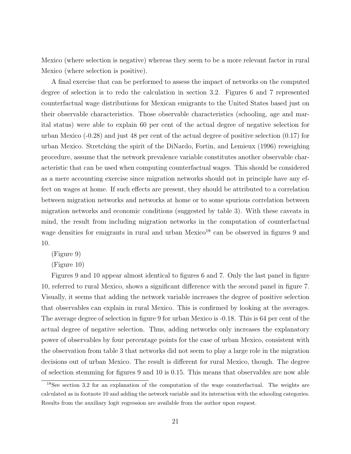Mexico (where selection is negative) whereas they seem to be a more relevant factor in rural Mexico (where selection is positive).

A final exercise that can be performed to assess the impact of networks on the computed degree of selection is to redo the calculation in section 3.2. Figures 6 and 7 represented counterfactual wage distributions for Mexican emigrants to the United States based just on their observable characteristics. Those observable characteristics (schooling, age and marital status) were able to explain 60 per cent of the actual degree of negative selection for urban Mexico (-0.28) and just 48 per cent of the actual degree of positive selection (0.17) for urban Mexico. Stretching the spirit of the DiNardo, Fortin, and Lemieux (1996) reweighing procedure, assume that the network prevalence variable constitutes another observable characteristic that can be used when computing counterfactual wages. This should be considered as a mere accounting exercise since migration networks should not in principle have any effect on wages at home. If such effects are present, they should be attributed to a correlation between migration networks and networks at home or to some spurious correlation between migration networks and economic conditions (suggested by table 3). With these caveats in mind, the result from including migration networks in the computation of counterfactual wage densities for emigrants in rural and urban  $Mexico<sup>18</sup>$  can be observed in figures 9 and 10.

(Figure 9)

(Figure 10)

Figures 9 and 10 appear almost identical to figures 6 and 7. Only the last panel in figure 10, referred to rural Mexico, shows a significant difference with the second panel in figure 7. Visually, it seems that adding the network variable increases the degree of positive selection that observables can explain in rural Mexico. This is confirmed by looking at the averages. The average degree of selection in figure 9 for urban Mexico is -0.18. This is 64 per cent of the actual degree of negative selection. Thus, adding networks only increases the explanatory power of observables by four percentage points for the case of urban Mexico, consistent with the observation from table 3 that networks did not seem to play a large role in the migration decisions out of urban Mexico. The result is different for rural Mexico, though. The degree of selection stemming for figures 9 and 10 is 0.15. This means that observables are now able

<sup>18</sup>See section 3.2 for an explanation of the computation of the wage counterfactual. The weights are calculated as in footnote 10 and adding the network variable and its interaction with the schooling categories. Results from the auxiliary logit regression are available from the author upon request.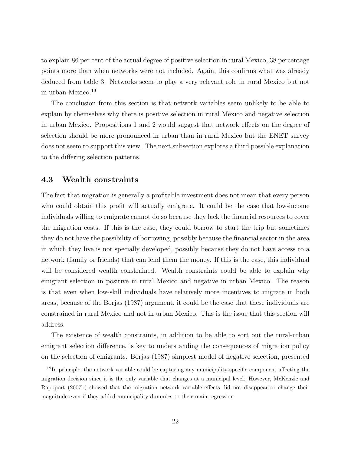to explain 86 per cent of the actual degree of positive selection in rural Mexico, 38 percentage points more than when networks were not included. Again, this confirms what was already deduced from table 3. Networks seem to play a very relevant role in rural Mexico but not in urban Mexico.<sup>19</sup>

The conclusion from this section is that network variables seem unlikely to be able to explain by themselves why there is positive selection in rural Mexico and negative selection in urban Mexico. Propositions 1 and 2 would suggest that network effects on the degree of selection should be more pronounced in urban than in rural Mexico but the ENET survey does not seem to support this view. The next subsection explores a third possible explanation to the differing selection patterns.

### 4.3 Wealth constraints

The fact that migration is generally a profitable investment does not mean that every person who could obtain this profit will actually emigrate. It could be the case that low-income individuals willing to emigrate cannot do so because they lack the financial resources to cover the migration costs. If this is the case, they could borrow to start the trip but sometimes they do not have the possibility of borrowing, possibly because the financial sector in the area in which they live is not specially developed, possibly because they do not have access to a network (family or friends) that can lend them the money. If this is the case, this individual will be considered wealth constrained. Wealth constraints could be able to explain why emigrant selection in positive in rural Mexico and negative in urban Mexico. The reason is that even when low-skill individuals have relatively more incentives to migrate in both areas, because of the Borjas (1987) argument, it could be the case that these individuals are constrained in rural Mexico and not in urban Mexico. This is the issue that this section will address.

The existence of wealth constraints, in addition to be able to sort out the rural-urban emigrant selection difference, is key to understanding the consequences of migration policy on the selection of emigrants. Borjas (1987) simplest model of negative selection, presented

 $19$ In principle, the network variable could be capturing any municipality-specific component affecting the migration decision since it is the only variable that changes at a municipal level. However, McKenzie and Rapoport (2007b) showed that the migration network variable effects did not disappear or change their magnitude even if they added municipality dummies to their main regression.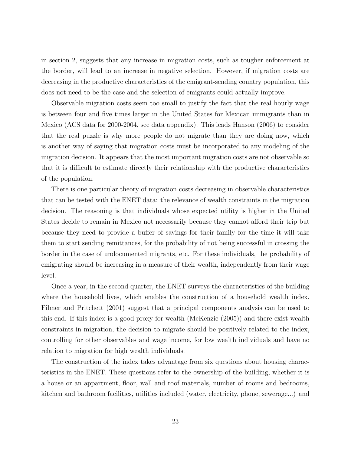in section 2, suggests that any increase in migration costs, such as tougher enforcement at the border, will lead to an increase in negative selection. However, if migration costs are decreasing in the productive characteristics of the emigrant-sending country population, this does not need to be the case and the selection of emigrants could actually improve.

Observable migration costs seem too small to justify the fact that the real hourly wage is between four and five times larger in the United States for Mexican immigrants than in Mexico (ACS data for 2000-2004, see data appendix). This leads Hanson (2006) to consider that the real puzzle is why more people do not migrate than they are doing now, which is another way of saying that migration costs must be incorporated to any modeling of the migration decision. It appears that the most important migration costs are not observable so that it is difficult to estimate directly their relationship with the productive characteristics of the population.

There is one particular theory of migration costs decreasing in observable characteristics that can be tested with the ENET data: the relevance of wealth constraints in the migration decision. The reasoning is that individuals whose expected utility is higher in the United States decide to remain in Mexico not necessarily because they cannot afford their trip but because they need to provide a buffer of savings for their family for the time it will take them to start sending remittances, for the probability of not being successful in crossing the border in the case of undocumented migrants, etc. For these individuals, the probability of emigrating should be increasing in a measure of their wealth, independently from their wage level.

Once a year, in the second quarter, the ENET surveys the characteristics of the building where the household lives, which enables the construction of a household wealth index. Filmer and Pritchett (2001) suggest that a principal components analysis can be used to this end. If this index is a good proxy for wealth (McKenzie (2005)) and there exist wealth constraints in migration, the decision to migrate should be positively related to the index, controlling for other observables and wage income, for low wealth individuals and have no relation to migration for high wealth individuals.

The construction of the index takes advantage from six questions about housing characteristics in the ENET. These questions refer to the ownership of the building, whether it is a house or an appartment, floor, wall and roof materials, number of rooms and bedrooms, kitchen and bathroom facilities, utilities included (water, electricity, phone, sewerage...) and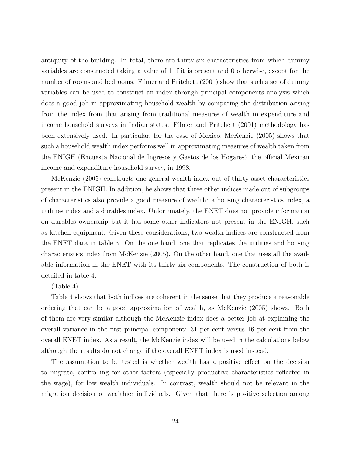antiquity of the building. In total, there are thirty-six characteristics from which dummy variables are constructed taking a value of 1 if it is present and 0 otherwise, except for the number of rooms and bedrooms. Filmer and Pritchett (2001) show that such a set of dummy variables can be used to construct an index through principal components analysis which does a good job in approximating household wealth by comparing the distribution arising from the index from that arising from traditional measures of wealth in expenditure and income household surveys in Indian states. Filmer and Pritchett (2001) methodology has been extensively used. In particular, for the case of Mexico, McKenzie (2005) shows that such a household wealth index performs well in approximating measures of wealth taken from the ENIGH (Encuesta Nacional de Ingresos y Gastos de los Hogares), the official Mexican income and expenditure household survey, in 1998.

McKenzie (2005) constructs one general wealth index out of thirty asset characteristics present in the ENIGH. In addition, he shows that three other indices made out of subgroups of characteristics also provide a good measure of wealth: a housing characteristics index, a utilities index and a durables index. Unfortunately, the ENET does not provide information on durables ownership but it has some other indicators not present in the ENIGH, such as kitchen equipment. Given these considerations, two wealth indices are constructed from the ENET data in table 3. On the one hand, one that replicates the utilities and housing characteristics index from McKenzie (2005). On the other hand, one that uses all the available information in the ENET with its thirty-six components. The construction of both is detailed in table 4.

#### (Table 4)

Table 4 shows that both indices are coherent in the sense that they produce a reasonable ordering that can be a good approximation of wealth, as McKenzie (2005) shows. Both of them are very similar although the McKenzie index does a better job at explaining the overall variance in the first principal component: 31 per cent versus 16 per cent from the overall ENET index. As a result, the McKenzie index will be used in the calculations below although the results do not change if the overall ENET index is used instead.

The assumption to be tested is whether wealth has a positive effect on the decision to migrate, controlling for other factors (especially productive characteristics reflected in the wage), for low wealth individuals. In contrast, wealth should not be relevant in the migration decision of wealthier individuals. Given that there is positive selection among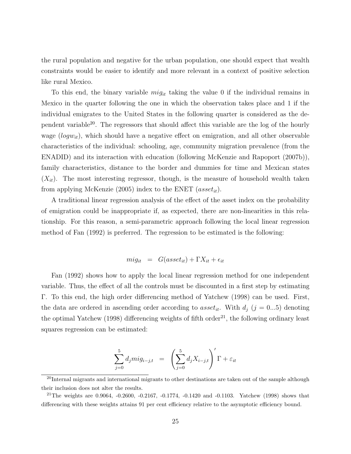the rural population and negative for the urban population, one should expect that wealth constraints would be easier to identify and more relevant in a context of positive selection like rural Mexico.

To this end, the binary variable  $mig_{it}$  taking the value 0 if the individual remains in Mexico in the quarter following the one in which the observation takes place and 1 if the individual emigrates to the United States in the following quarter is considered as the dependent variable<sup>20</sup>. The regressors that should affect this variable are the log of the hourly wage  $(log w_{it})$ , which should have a negative effect on emigration, and all other observable characteristics of the individual: schooling, age, community migration prevalence (from the ENADID) and its interaction with education (following McKenzie and Rapoport (2007b)), family characteristics, distance to the border and dummies for time and Mexican states  $(X_{it})$ . The most interesting regressor, though, is the measure of household wealth taken from applying McKenzie (2005) index to the ENET ( $asset_{it}$ ).

A traditional linear regression analysis of the effect of the asset index on the probability of emigration could be inappropriate if, as expected, there are non-linearities in this relationship. For this reason, a semi-parametric approach following the local linear regression method of Fan (1992) is preferred. The regression to be estimated is the following:

$$
mig_{it} = G(asset_{it}) + \Gamma X_{it} + \epsilon_{it}
$$

Fan (1992) shows how to apply the local linear regression method for one independent variable. Thus, the effect of all the controls must be discounted in a first step by estimating Γ. To this end, the high order differencing method of Yatchew (1998) can be used. First, the data are ordered in ascending order according to asset<sub>it</sub>. With  $d_j$  ( $j = 0...5$ ) denoting the optimal Yatchew (1998) differencing weights of fifth order<sup>21</sup>, the following ordinary least squares regression can be estimated:

$$
\sum_{j=0}^{5} d_j m i g_{i-j,t} = \left(\sum_{j=0}^{5} d_j X_{i-j,t}\right) \Gamma + \varepsilon_{it}
$$

<sup>&</sup>lt;sup>20</sup>Internal migrants and international migrants to other destinations are taken out of the sample although their inclusion does not alter the results.

<sup>&</sup>lt;sup>21</sup>The weights are 0.9064,  $-0.2600$ ,  $-0.2167$ ,  $-0.1774$ ,  $-0.1420$  and  $-0.1103$ . Yatchew (1998) shows that differencing with these weights attains 91 per cent efficiency relative to the asymptotic efficiency bound.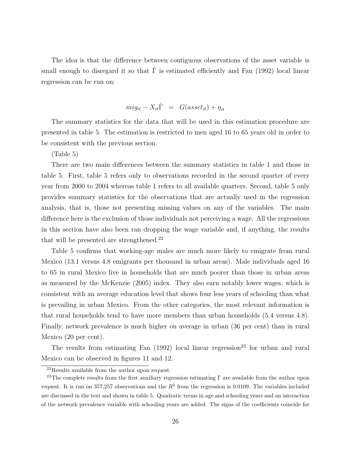The idea is that the difference between contiguous observations of the asset variable is small enough to disregard it so that  $\hat{\Gamma}$  is estimated efficiently and Fan (1992) local linear regression can be run on:

$$
mig_{it} - X_{it}\hat{\Gamma} = G(asset_{it}) + \eta_{it}
$$

The summary statistics for the data that will be used in this estimation procedure are presented in table 5. The estimation is restricted to men aged 16 to 65 years old in order to be consistent with the previous section.

(Table 5)

There are two main differences between the summary statistics in table 1 and those in table 5. First, table 5 refers only to observations recorded in the second quarter of every year from 2000 to 2004 whereas table 1 refers to all available quarters. Second, table 5 only provides summary statistics for the observations that are actually used in the regression analysis, that is, those not presenting missing values on any of the variables. The main difference here is the exclusion of those individuals not perceiving a wage. All the regressions in this section have also been ran dropping the wage variable and, if anything, the results that will be presented are strengthened.<sup>22</sup>

Table 5 confirms that working-age males are much more likely to emigrate from rural Mexico (13.1 versus 4.8 emigrants per thousand in urban areas). Male individuals aged 16 to 65 in rural Mexico live in households that are much poorer than those in urban areas as measured by the McKenzie (2005) index. They also earn notably lower wages, which is consistent with an average education level that shows four less years of schooling than what is prevailing in urban Mexico. From the other categories, the most relevant information is that rural households tend to have more members than urban households (5.4 versus 4.8). Finally, network prevalence is much higher on average in urban (36 per cent) than in rural Mexico (20 per cent).

The results from estimating Fan  $(1992)$  local linear regression<sup>23</sup> for urban and rural Mexico can be observed in figures 11 and 12.

<sup>22</sup>Results available from the author upon request.

<sup>&</sup>lt;sup>23</sup>The complete results from the first auxiliary regression estimating  $\Gamma$  are available from the author upon request. It is run on 357,257 observations and the  $R^2$  from the regression is 0.0109. The variables included are discussed in the text and shown in table 5. Quadratic terms in age and schooling years and an interaction of the network prevalence variable with schooling years are added. The signs of the coefficients coincide for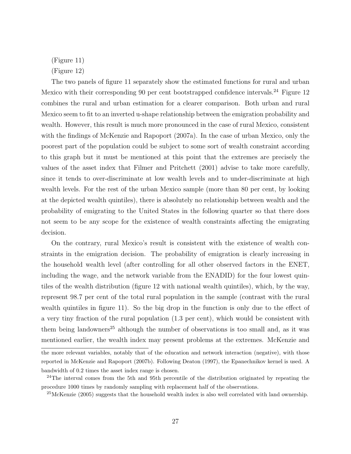(Figure 11)

(Figure 12)

The two panels of figure 11 separately show the estimated functions for rural and urban Mexico with their corresponding 90 per cent bootstrapped confidence intervals.<sup>24</sup> Figure 12 combines the rural and urban estimation for a clearer comparison. Both urban and rural Mexico seem to fit to an inverted u-shape relationship between the emigration probability and wealth. However, this result is much more pronounced in the case of rural Mexico, consistent with the findings of McKenzie and Rapoport (2007a). In the case of urban Mexico, only the poorest part of the population could be subject to some sort of wealth constraint according to this graph but it must be mentioned at this point that the extremes are precisely the values of the asset index that Filmer and Pritchett (2001) advise to take more carefully, since it tends to over-discriminate at low wealth levels and to under-discriminate at high wealth levels. For the rest of the urban Mexico sample (more than 80 per cent, by looking at the depicted wealth quintiles), there is absolutely no relationship between wealth and the probability of emigrating to the United States in the following quarter so that there does not seem to be any scope for the existence of wealth constraints affecting the emigrating decision.

On the contrary, rural Mexico's result is consistent with the existence of wealth constraints in the emigration decision. The probability of emigration is clearly increasing in the household wealth level (after controlling for all other observed factors in the ENET, including the wage, and the network variable from the ENADID) for the four lowest quintiles of the wealth distribution (figure 12 with national wealth quintiles), which, by the way, represent 98.7 per cent of the total rural population in the sample (contrast with the rural wealth quintiles in figure 11). So the big drop in the function is only due to the effect of a very tiny fraction of the rural population (1.3 per cent), which would be consistent with them being landowners<sup>25</sup> although the number of observations is too small and, as it was mentioned earlier, the wealth index may present problems at the extremes. McKenzie and

the more relevant variables, notably that of the education and network interaction (negative), with those reported in McKenzie and Rapoport (2007b). Following Deaton (1997), the Epanechnikov kernel is used. A bandwidth of 0.2 times the asset index range is chosen.

<sup>&</sup>lt;sup>24</sup>The interval comes from the 5th and 95th percentile of the distribution originated by repeating the procedure 1000 times by randomly sampling with replacement half of the observations.

 $^{25}$ McKenzie (2005) suggests that the household wealth index is also well correlated with land ownership.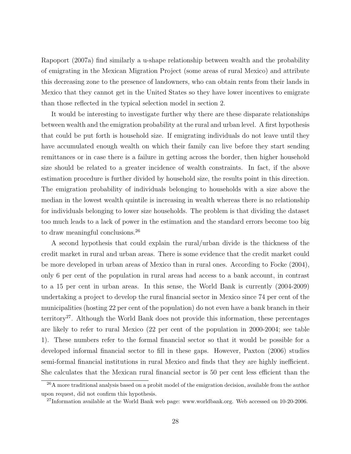Rapoport (2007a) find similarly a u-shape relationship between wealth and the probability of emigrating in the Mexican Migration Project (some areas of rural Mexico) and attribute this decreasing zone to the presence of landowners, who can obtain rents from their lands in Mexico that they cannot get in the United States so they have lower incentives to emigrate than those reflected in the typical selection model in section 2.

It would be interesting to investigate further why there are these disparate relationships between wealth and the emigration probability at the rural and urban level. A first hypothesis that could be put forth is household size. If emigrating individuals do not leave until they have accumulated enough wealth on which their family can live before they start sending remittances or in case there is a failure in getting across the border, then higher household size should be related to a greater incidence of wealth constraints. In fact, if the above estimation procedure is further divided by household size, the results point in this direction. The emigration probability of individuals belonging to households with a size above the median in the lowest wealth quintile is increasing in wealth whereas there is no relationship for individuals belonging to lower size households. The problem is that dividing the dataset too much leads to a lack of power in the estimation and the standard errors become too big to draw meaningful conclusions.<sup>26</sup>

A second hypothesis that could explain the rural/urban divide is the thickness of the credit market in rural and urban areas. There is some evidence that the credit market could be more developed in urban areas of Mexico than in rural ones. According to Focke (2004), only 6 per cent of the population in rural areas had access to a bank account, in contrast to a 15 per cent in urban areas. In this sense, the World Bank is currently (2004-2009) undertaking a project to develop the rural financial sector in Mexico since 74 per cent of the municipalities (hosting 22 per cent of the population) do not even have a bank branch in their territory<sup>27</sup>. Although the World Bank does not provide this information, these percentages are likely to refer to rural Mexico (22 per cent of the population in 2000-2004; see table 1). These numbers refer to the formal financial sector so that it would be possible for a developed informal financial sector to fill in these gaps. However, Paxton (2006) studies semi-formal financial institutions in rural Mexico and finds that they are highly inefficient. She calculates that the Mexican rural financial sector is 50 per cent less efficient than the

<sup>&</sup>lt;sup>26</sup>A more traditional analysis based on a probit model of the emigration decision, available from the author upon request, did not confirm this hypothesis.

 $^{27}$ Information available at the World Bank web page: www.worldbank.org. Web accessed on 10-20-2006.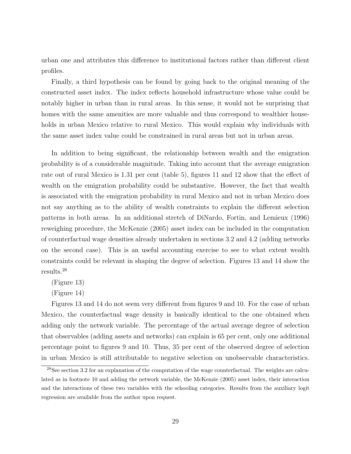urban one and attributes this difference to institutional factors rather than different client profiles.

Finally, a third hypothesis can be found by going back to the original meaning of the constructed asset index. The index reflects household infrastructure whose value could be notably higher in urban than in rural areas. In this sense, it would not be surprising that homes with the same amenities are more valuable and thus correspond to wealthier households in urban Mexico relative to rural Mexico. This would explain why individuals with the same asset index value could be constrained in rural areas but not in urban areas.

In addition to being significant, the relationship between wealth and the emigration probability is of a considerable magnitude. Taking into account that the average emigration rate out of rural Mexico is 1.31 per cent (table 5), figures 11 and 12 show that the effect of wealth on the emigration probability could be substantive. However, the fact that wealth is associated with the emigration probability in rural Mexico and not in urban Mexico does not say anything as to the ability of wealth constraints to explain the different selection patterns in both areas. In an additional stretch of DiNardo, Fortin, and Lemieux (1996) reweighing procedure, the McKenzie (2005) asset index can be included in the computation of counterfactual wage densities already undertaken in sections 3.2 and 4.2 (adding networks on the second case). This is an useful accounting exercise to see to what extent wealth constraints could be relevant in shaping the degree of selection. Figures 13 and 14 show the results.<sup>28</sup>

(Figure 13)

(Figure 14)

Figures 13 and 14 do not seem very different from figures 9 and 10. For the case of urban Mexico, the counterfactual wage density is basically identical to the one obtained when adding only the network variable. The percentage of the actual average degree of selection that observables (adding assets and networks) can explain is 65 per cent, only one additional percentage point to figures 9 and 10. Thus, 35 per cent of the observed degree of selection in urban Mexico is still attributable to negative selection on unobservable characteristics.

 $28$ See section 3.2 for an explanation of the computation of the wage counterfactual. The weights are calculated as in footnote 10 and adding the network variable, the McKenzie (2005) asset index, their interaction and the interactions of these two variables with the schooling categories. Results from the auxiliary logit regression are available from the author upon request.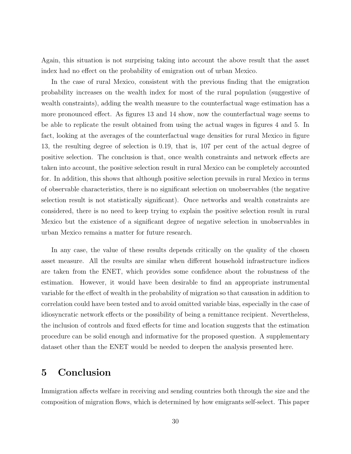Again, this situation is not surprising taking into account the above result that the asset index had no effect on the probability of emigration out of urban Mexico.

In the case of rural Mexico, consistent with the previous finding that the emigration probability increases on the wealth index for most of the rural population (suggestive of wealth constraints), adding the wealth measure to the counterfactual wage estimation has a more pronounced effect. As figures 13 and 14 show, now the counterfactual wage seems to be able to replicate the result obtained from using the actual wages in figures 4 and 5. In fact, looking at the averages of the counterfactual wage densities for rural Mexico in figure 13, the resulting degree of selection is 0.19, that is, 107 per cent of the actual degree of positive selection. The conclusion is that, once wealth constraints and network effects are taken into account, the positive selection result in rural Mexico can be completely accounted for. In addition, this shows that although positive selection prevails in rural Mexico in terms of observable characteristics, there is no significant selection on unobservables (the negative selection result is not statistically significant). Once networks and wealth constraints are considered, there is no need to keep trying to explain the positive selection result in rural Mexico but the existence of a significant degree of negative selection in unobservables in urban Mexico remains a matter for future research.

In any case, the value of these results depends critically on the quality of the chosen asset measure. All the results are similar when different household infrastructure indices are taken from the ENET, which provides some confidence about the robustness of the estimation. However, it would have been desirable to find an appropriate instrumental variable for the effect of wealth in the probability of migration so that causation in addition to correlation could have been tested and to avoid omitted variable bias, especially in the case of idiosyncratic network effects or the possibility of being a remittance recipient. Nevertheless, the inclusion of controls and fixed effects for time and location suggests that the estimation procedure can be solid enough and informative for the proposed question. A supplementary dataset other than the ENET would be needed to deepen the analysis presented here.

### 5 Conclusion

Immigration affects welfare in receiving and sending countries both through the size and the composition of migration flows, which is determined by how emigrants self-select. This paper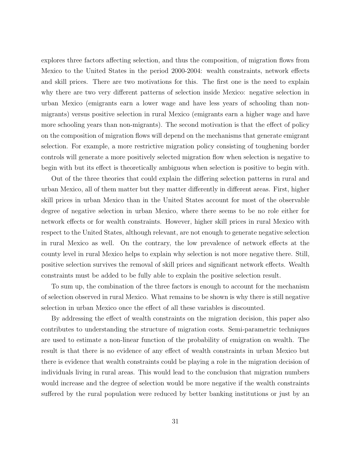explores three factors affecting selection, and thus the composition, of migration flows from Mexico to the United States in the period 2000-2004: wealth constraints, network effects and skill prices. There are two motivations for this. The first one is the need to explain why there are two very different patterns of selection inside Mexico: negative selection in urban Mexico (emigrants earn a lower wage and have less years of schooling than nonmigrants) versus positive selection in rural Mexico (emigrants earn a higher wage and have more schooling years than non-migrants). The second motivation is that the effect of policy on the composition of migration flows will depend on the mechanisms that generate emigrant selection. For example, a more restrictive migration policy consisting of toughening border controls will generate a more positively selected migration flow when selection is negative to begin with but its effect is theoretically ambiguous when selection is positive to begin with.

Out of the three theories that could explain the differing selection patterns in rural and urban Mexico, all of them matter but they matter differently in different areas. First, higher skill prices in urban Mexico than in the United States account for most of the observable degree of negative selection in urban Mexico, where there seems to be no role either for network effects or for wealth constraints. However, higher skill prices in rural Mexico with respect to the United States, although relevant, are not enough to generate negative selection in rural Mexico as well. On the contrary, the low prevalence of network effects at the county level in rural Mexico helps to explain why selection is not more negative there. Still, positive selection survives the removal of skill prices and significant network effects. Wealth constraints must be added to be fully able to explain the positive selection result.

To sum up, the combination of the three factors is enough to account for the mechanism of selection observed in rural Mexico. What remains to be shown is why there is still negative selection in urban Mexico once the effect of all these variables is discounted.

By addressing the effect of wealth constraints on the migration decision, this paper also contributes to understanding the structure of migration costs. Semi-parametric techniques are used to estimate a non-linear function of the probability of emigration on wealth. The result is that there is no evidence of any effect of wealth constraints in urban Mexico but there is evidence that wealth constraints could be playing a role in the migration decision of individuals living in rural areas. This would lead to the conclusion that migration numbers would increase and the degree of selection would be more negative if the wealth constraints suffered by the rural population were reduced by better banking institutions or just by an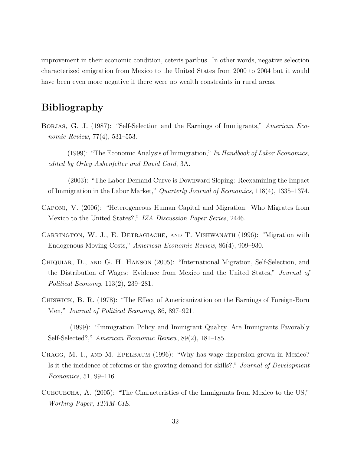improvement in their economic condition, ceteris paribus. In other words, negative selection characterized emigration from Mexico to the United States from 2000 to 2004 but it would have been even more negative if there were no wealth constraints in rural areas.

# Bibliography

- BORJAS, G. J. (1987): "Self-Selection and the Earnings of Immigrants," American Economic Review, 77(4), 531–553.
- $-$  (1999): "The Economic Analysis of Immigration," In Handbook of Labor Economics, edited by Orley Ashenfelter and David Card, 3A.
- (2003): "The Labor Demand Curve is Downward Sloping: Reexamining the Impact of Immigration in the Labor Market," Quarterly Journal of Economics, 118(4), 1335–1374.
- Caponi, V. (2006): "Heterogeneous Human Capital and Migration: Who Migrates from Mexico to the United States?," IZA Discussion Paper Series, 2446.
- CARRINGTON, W. J., E. DETRAGIACHE, AND T. VISHWANATH (1996): "Migration with Endogenous Moving Costs," American Economic Review, 86(4), 909–930.
- Chiquiar, D., and G. H. Hanson (2005): "International Migration, Self-Selection, and the Distribution of Wages: Evidence from Mexico and the United States," Journal of Political Economy, 113(2), 239–281.
- Chiswick, B. R. (1978): "The Effect of Americanization on the Earnings of Foreign-Born Men," Journal of Political Economy, 86, 897–921.

- Cragg, M. I., and M. Epelbaum (1996): "Why has wage dispersion grown in Mexico? Is it the incidence of reforms or the growing demand for skills?," Journal of Development Economics, 51, 99–116.
- Cuecuecha, A. (2005): "The Characteristics of the Immigrants from Mexico to the US," Working Paper, ITAM-CIE.

<sup>(1999): &</sup>quot;Immigration Policy and Immigrant Quality. Are Immigrants Favorably Self-Selected?," American Economic Review, 89(2), 181–185.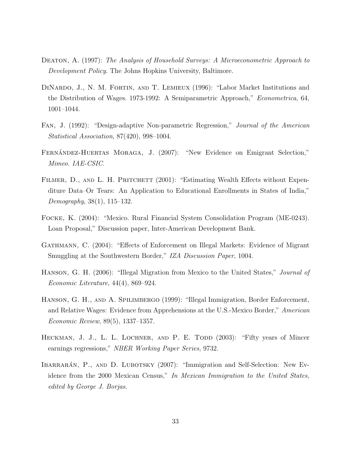- Deaton, A. (1997): The Analysis of Household Surveys: A Microeconometric Approach to Development Policy. The Johns Hopkins University, Baltimore.
- DINARDO, J., N. M. FORTIN, AND T. LEMIEUX (1996): "Labor Market Institutions and the Distribution of Wages. 1973-1992: A Semiparametric Approach," Econometrica, 64, 1001–1044.
- Fan, J. (1992): "Design-adaptive Non-parametric Regression," Journal of the American Statistical Association, 87(420), 998–1004.
- FERNÁNDEZ-HUERTAS MORAGA, J. (2007): "New Evidence on Emigrant Selection," Mimeo. IAE-CSIC.
- FILMER, D., AND L. H. PRITCHETT (2001): "Estimating Wealth Effects without Expenditure Data–Or Tears: An Application to Educational Enrollments in States of India," Demography, 38(1), 115–132.
- Focke, K. (2004): "Mexico. Rural Financial System Consolidation Program (ME-0243). Loan Proposal," Discussion paper, Inter-American Development Bank.
- Gathmann, C. (2004): "Effects of Enforcement on Illegal Markets: Evidence of Migrant Smuggling at the Southwestern Border," IZA Discussion Paper, 1004.
- Hanson, G. H. (2006): "Illegal Migration from Mexico to the United States," Journal of Economic Literature, 44(4), 869–924.
- Hanson, G. H., and A. Spilimbergo (1999): "Illegal Immigration, Border Enforcement, and Relative Wages: Evidence from Apprehensions at the U.S.-Mexico Border," American Economic Review, 89(5), 1337–1357.
- HECKMAN, J. J., L. L. LOCHNER, AND P. E. TODD (2003): "Fifty years of Mincer earnings regressions," NBER Working Paper Series, 9732.
- IBARRARÁN, P., AND D. LUBOTSKY (2007): "Immigration and Self-Selection: New Evidence from the 2000 Mexican Census," In Mexican Immigration to the United States, edited by George J. Borjas.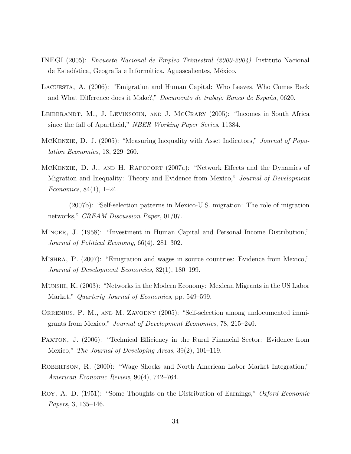- INEGI (2005): Encuesta Nacional de Empleo Trimestral (2000-2004). Instituto Nacional de Estadística, Geografía e Informática. Aguascalientes, México.
- Lacuesta, A. (2006): "Emigration and Human Capital: Who Leaves, Who Comes Back and What Difference does it Make?," Documento de trabajo Banco de España, 0620.
- LEIBBRANDT, M., J. LEVINSOHN, AND J. MCCRARY (2005): "Incomes in South Africa since the fall of Apartheid," NBER Working Paper Series, 11384.
- McKenzie, D. J. (2005): "Measuring Inequality with Asset Indicators," Journal of Population Economics, 18, 229–260.
- McKenzie, D. J., and H. Rapoport (2007a): "Network Effects and the Dynamics of Migration and Inequality: Theory and Evidence from Mexico," Journal of Development Economics, 84(1), 1–24.
- (2007b): "Self-selection patterns in Mexico-U.S. migration: The role of migration networks," *CREAM Discussion Paper*, 01/07.
- Mincer, J. (1958): "Investment in Human Capital and Personal Income Distribution," Journal of Political Economy, 66(4), 281–302.
- Mishra, P. (2007): "Emigration and wages in source countries: Evidence from Mexico," Journal of Development Economics, 82(1), 180–199.
- Munshi, K. (2003): "Networks in the Modern Economy: Mexican Migrants in the US Labor Market," *Quarterly Journal of Economics*, pp. 549–599.
- ORRENIUS, P. M., AND M. ZAVODNY (2005): "Self-selection among undocumented immigrants from Mexico," Journal of Development Economics, 78, 215–240.
- PAXTON, J. (2006): "Technical Efficiency in the Rural Financial Sector: Evidence from Mexico," The Journal of Developing Areas, 39(2), 101–119.
- ROBERTSON, R. (2000): "Wage Shocks and North American Labor Market Integration," American Economic Review, 90(4), 742–764.
- Roy, A. D. (1951): "Some Thoughts on the Distribution of Earnings," *Oxford Economic* Papers, 3, 135–146.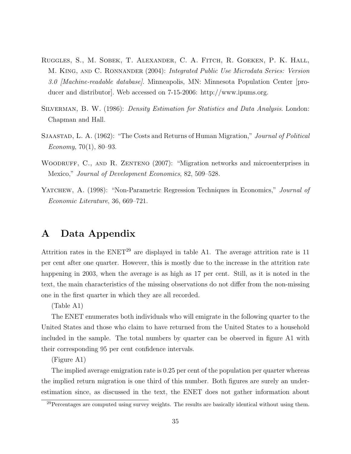- Ruggles, S., M. Sobek, T. Alexander, C. A. Fitch, R. Goeken, P. K. Hall, M. King, and C. Ronnander (2004): Integrated Public Use Microdata Series: Version 3.0 [Machine-readable database]. Minneapolis, MN: Minnesota Population Center [producer and distributor]. Web accessed on 7-15-2006: http://www.ipums.org.
- Silverman, B. W. (1986): Density Estimation for Statistics and Data Analysis. London: Chapman and Hall.
- Sjaastad, L. A. (1962): "The Costs and Returns of Human Migration," Journal of Political Economy, 70(1), 80–93.
- WOODRUFF, C., AND R. ZENTENO (2007): "Migration networks and microenterprises in Mexico," Journal of Development Economics, 82, 509–528.
- YATCHEW, A. (1998): "Non-Parametric Regression Techniques in Economics," *Journal of* Economic Literature, 36, 669–721.

# A Data Appendix

Attrition rates in the  $ENET^{29}$  are displayed in table A1. The average attrition rate is 11 per cent after one quarter. However, this is mostly due to the increase in the attrition rate happening in 2003, when the average is as high as 17 per cent. Still, as it is noted in the text, the main characteristics of the missing observations do not differ from the non-missing one in the first quarter in which they are all recorded.

(Table A1)

The ENET enumerates both individuals who will emigrate in the following quarter to the United States and those who claim to have returned from the United States to a household included in the sample. The total numbers by quarter can be observed in figure A1 with their corresponding 95 per cent confidence intervals.

(Figure A1)

The implied average emigration rate is 0.25 per cent of the population per quarter whereas the implied return migration is one third of this number. Both figures are surely an underestimation since, as discussed in the text, the ENET does not gather information about

 $29$ Percentages are computed using survey weights. The results are basically identical without using them.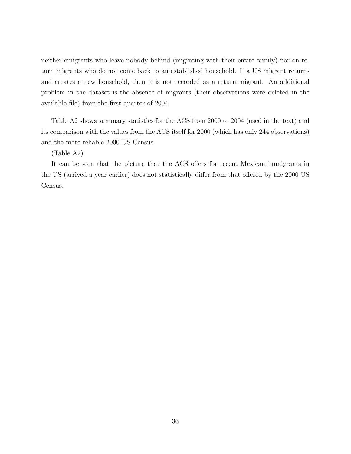neither emigrants who leave nobody behind (migrating with their entire family) nor on return migrants who do not come back to an established household. If a US migrant returns and creates a new household, then it is not recorded as a return migrant. An additional problem in the dataset is the absence of migrants (their observations were deleted in the available file) from the first quarter of 2004.

Table A2 shows summary statistics for the ACS from 2000 to 2004 (used in the text) and its comparison with the values from the ACS itself for 2000 (which has only 244 observations) and the more reliable 2000 US Census.

(Table A2)

It can be seen that the picture that the ACS offers for recent Mexican immigrants in the US (arrived a year earlier) does not statistically differ from that offered by the 2000 US Census.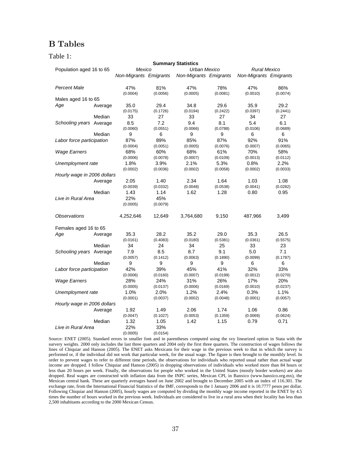### B Tables

### Table 1:

|                             |         |                        |          | <b>Summary Statistics</b>     |          |                               |          |  |
|-----------------------------|---------|------------------------|----------|-------------------------------|----------|-------------------------------|----------|--|
| Population aged 16 to 65    |         | Mexico                 |          | Urban Mexico                  |          | Rural Mexico                  |          |  |
|                             |         | Non-Migrants Emigrants |          | <b>Non-Migrants Emigrants</b> |          | <b>Non-Migrants Emigrants</b> |          |  |
| <b>Percent Male</b>         |         | 47%                    | 81%      | 47%                           | 78%      | 47%                           | 86%      |  |
|                             |         | (0.0004)               | (0.0056) | (0.0005)                      | (0.0081) | (0.0010)                      | (0.0074) |  |
| Males aged 16 to 65         |         |                        |          |                               |          |                               |          |  |
| Age                         | Average | 35.0                   | 29.4     | 34.8                          | 29.6     | 35.9                          | 29.2     |  |
|                             |         | (0.0175)               | (0.1726) | (0.0194)                      | (0.2422) | (0.0397)                      | (0.2441) |  |
|                             | Median  | 33                     | 27       | 33                            | 27       | 34                            | 27       |  |
| Schooling years Average     |         | 8.5                    | 7.2      | 9.4                           | 8.1      | 5.4                           | 6.1      |  |
|                             |         | (0.0060)               | (0.0551) | (0.0066)                      | (0.0788) | (0.0106)                      | (0.0689) |  |
|                             | Median  | 9                      | 6        | 9                             | 9        | 6                             | 6        |  |
| Labor force participation   |         | 87%                    | 89%      | 85%                           | 87%      | 92%                           | 91%      |  |
|                             |         | (0.0004)               | (0.0051) | (0.0005)                      | (0.0076) | (0.0007)                      | (0.0065) |  |
| <b>Wage Earners</b>         |         | 68%                    | 60%      | 68%                           | 61%      | 70%                           | 58%      |  |
|                             |         | (0.0006)               | (0.0078) | (0.0007)                      | (0.0109) | (0.0013)                      | (0.0112) |  |
| Unemployment rate           |         | 1.8%                   | 3.9%     | 2.1%                          | 5.3%     | 0.8%                          | 2.2%     |  |
|                             |         | (0.0002)               | (0.0036) | (0.0002)                      | (0.0058) | (0.0002)                      | (0.0033) |  |
| Hourly wage in 2006 dollars |         |                        |          |                               |          |                               |          |  |
|                             | Average | 2.05                   | 1.40     | 2.34                          | 1.64     | 1.03                          | 1.08     |  |
|                             |         | (0.0039)               | (0.0332) | (0.0048)                      | (0.0538) | (0.0041)                      | (0.0282) |  |
|                             | Median  | 1.43                   | 1.14     | 1.62                          | 1.28     | 0.80                          | 0.95     |  |
| Live in Rural Area          |         | 22%                    | 45%      |                               |          |                               |          |  |
|                             |         | (0.0005)               | (0.0079) |                               |          |                               |          |  |
| <b>Observations</b>         |         | 4,252,646              | 12,649   | 3,764,680                     | 9,150    | 487,966                       | 3,499    |  |
| Females aged 16 to 65       |         |                        |          |                               |          |                               |          |  |
| Age                         | Average | 35.3                   | 28.2     | 35.2                          | 29.0     | 35.3                          | 26.5     |  |
|                             |         | (0.0161)               | (0.4083) | (0.0180)                      | (0.5381) | (0.0361)                      | (0.5575) |  |
|                             | Median  | 34                     | 24       | 34                            | 25       | 33                            | 23       |  |
| Schooling years Average     |         | 7.9                    | 8.5      | 8.7                           | 9.1      | 5.0                           | 7.1      |  |
|                             |         | (0.0057)               | (0.1412) | (0.0063)                      | (0.1890) | (0.0099)                      | (0.1787) |  |
|                             | Median  | 9                      | 9        | 9                             | 9        | 6                             | 6        |  |
| Labor force participation   |         | 42%                    | 39%      | 45%                           | 41%      | 32%                           | 33%      |  |
|                             |         | (0.0006)               | (0.0160) | (0.0007)                      | (0.0199) | (0.0012)                      | (0.0270) |  |
| <b>Wage Earners</b>         |         | 28%                    | 24%      | 31%                           | 26%      | 17%                           | 20%      |  |
|                             |         | (0.0005)               | (0.0137) | (0.0006)                      | (0.0169) | (0.0010)                      | (0.0237) |  |
| Unemployment rate           |         | 1.0%                   | 2.0%     | 1.2%                          | 2.4%     | 0.3%                          | 1.1%     |  |
|                             |         | (0.0001)               | (0.0037) | (0.0002)                      | (0.0048) | (0.0001)                      | (0.0057) |  |
| Hourly wage in 2006 dollars |         |                        |          |                               |          |                               |          |  |
|                             | Average | 1.92                   | 1.49     | 2.06                          | 1.74     | 1.06                          | 0.86     |  |
|                             |         | (0.0047)               | (0.1027) | (0.0053)                      | (0.1359) | (0.0069)                      | (0.0624) |  |
|                             | Median  | 1.32                   | 1.05     | 1.42                          | 1.15     | 0.79                          | 0.71     |  |
| Live in Rural Area          |         | 22%                    | 33%      |                               |          |                               |          |  |
|                             |         | (0.0005)               | (0.0154) |                               |          |                               |          |  |

Source: ENET (2005). Standard errors in smaller font and in parentheses computed using the svy linearized option in Stata with the survery weights. 2000 only includes the last three quarters and 2004 only the first three quarters. The construction of wages follows the lines of Chiquiar and Hanson (2005). The ENET asks Mexicans for their wage in the previous week to that in which the survey is performed or, if the individual did not work that particular week, for the usual wage. The figure is then brought to the monthly level. In order to prevent wages to refer to different time periods, the observations for individuals who reported usual rather than actual wage income are dropped. I follow Chiquiar and Hanson (2005) in dropping observations of individuals who worked more than 84 hours or less than 20 hours per week. Finally, the observations for people who worked in the United States (mostly border workers) are also dropped. Real wages are constructed with inflation data from the INPC series, Mexican CPI, in Banxico (www.banxico.org.mx), the Mexican central bank. These are quarterly averages based on June 2002 and brought to December 2005 with an index of 116.301. The exchange rate, from the International Financial Statistics of the IMF, corresponds to the 1 January 2006 and it is 10.7777 pesos per dollar. Following Chiquiar and Hanson (2005), hourly wages are computed by dividing the monthly wage income reported in the ENET by 4.5 times the number of hours worked in the previous week. Individuals are considered to live in a rural area when their locality has less than 2,500 inhabitants according to the 2000 Mexican Census.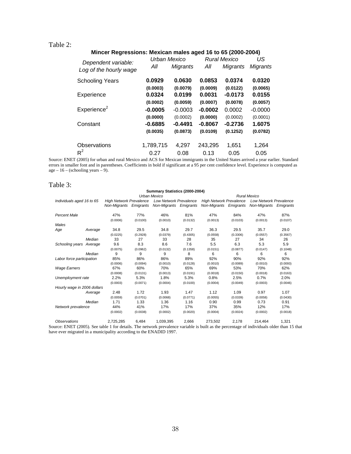### Table 2:

#### **Mincer Regressions: Mexican males aged 16 to 65 (2000-2004)**

|                                               | Urban Mexico |                 |           | <b>Rural Mexico</b> | US        |
|-----------------------------------------------|--------------|-----------------|-----------|---------------------|-----------|
| Dependent variable:<br>Log of the hourly wage | All          | <b>Migrants</b> | All       | Migrants            | Migrants  |
| <b>Schooling Years</b>                        | 0.0929       | 0.0630          | 0.0853    | 0.0374              | 0.0320    |
|                                               | (0.0003)     | (0.0079)        | (0.0009)  | (0.0122)            | (0.0065)  |
| Experience                                    | 0.0324       | 0.0199          | 0.0031    | $-0.0173$           | 0.0155    |
|                                               | (0.0002)     | (0.0059)        | (0.0007)  | (0.0078)            | (0.0057)  |
| Experience <sup>2</sup>                       | $-0.0005$    | $-0.0003$       | $-0.0002$ | 0.0002              | $-0.0000$ |
|                                               | (0.0000)     | (0.0002)        | (0.0000)  | (0.0002)            | (0.0001)  |
| Constant                                      | $-0.6885$    | $-0.4491$       | $-0.8067$ | $-0.2736$           | 1.6075    |
|                                               | (0.0035)     | (0.0873)        | (0.0109)  | (0.1252)            | (0.0782)  |
| Observations                                  | 1,789,715    | 4,297           | 243,295   | 1,651               | 1,264     |
| $R^2$                                         | 0.27         | 0.08            | 0.13      | 0.05                | 0.05      |

Source: ENET (2005) for urban and rural Mexico and ACS for Mexican immigrants in the United States arrived a year earlier. Standard errors in smaller font and in parentheses. Coefficients in bold if significant at a 95 per cent confidence level. Experience is computed as age  $-16$  – (schooling years  $-9$ ).

### Table 3:

|                             |              |                                |           | Summary Statistics (2000-2004) |          |                                |                     |                               |           |  |  |
|-----------------------------|--------------|--------------------------------|-----------|--------------------------------|----------|--------------------------------|---------------------|-------------------------------|-----------|--|--|
|                             | Urban Mexico |                                |           |                                |          |                                | <b>Rural Mexico</b> |                               |           |  |  |
| Individuals aged 16 to 65   |              | <b>High Network Prevalence</b> |           | <b>Low Network Prevalence</b>  |          | <b>High Network Prevalence</b> |                     | <b>Low Network Prevalence</b> |           |  |  |
|                             |              | Non-Miarants                   | Emigrants | <b>Non-Migrants Emigrants</b>  |          | Non-Miarants                   | Emigrants           | Non-Migrants                  | Emigrants |  |  |
| <b>Percent Male</b>         |              | 47%                            | 77%       | 46%                            | 81%      | 47%                            | 84%                 | 47%                           | 87%       |  |  |
|                             |              | (0.0006)                       | (0.0100)  | (0.0010)                       | (0.0132) | (0.0013)                       | (0.0103)            | (0.0013)                      | (0.0107)  |  |  |
| Males                       |              |                                |           |                                |          |                                |                     |                               |           |  |  |
| Age                         | Average      | 34.8                           | 29.5      | 34.8                           | 29.7     | 36.3                           | 29.5                | 35.7                          | 29.0      |  |  |
|                             |              | (0.0225)                       | (0.2928)  | (0.0379)                       | (0.4305) | (0.0558)                       | (0.3306)            | (0.0557)                      | (0.3567)  |  |  |
|                             | Median       | 33                             | 27        | 33                             | 28       | 35                             | 27                  | 34                            | 26        |  |  |
| Schooling years             | Average      | 9.6                            | 8.3       | 8.6                            | 7.6      | 5.5                            | 6.3                 | 5.3                           | 5.9       |  |  |
|                             |              | (0.0075)                       | (0.0962)  | (0.0132)                       | (0.1358) | (0.0151)                       | (0.0877)            | (0.0147)                      | (0.1048)  |  |  |
|                             | Median       | 9                              | 9         | 9                              | 8        | 6                              | 6                   | 6                             | 6         |  |  |
| Labor force participation   |              | 85%                            | 86%       | 86%                            | 89%      | 92%                            | 90%                 | 92%                           | 92%       |  |  |
|                             |              | (0.0006)                       | (0.0094)  | (0.0010)                       | (0.0128) | (0.0010)                       | (0.0089)            | (0.0010)                      | (0.0093)  |  |  |
| <b>Wage Earners</b>         |              | 67%                            | 60%       | 70%                            | 65%      | 69%                            | 53%                 | 70%                           | 62%       |  |  |
|                             |              | (0.0008)                       | (0.0131)  | (0.0013)                       | (0.0191) | (0.0018)                       | (0.0150)            | (0.0018)                      | (0.0163)  |  |  |
| Unemployment rate           |              | 2.2%                           | 5.3%      | 1.8%                           | 5.3%     | 0.8%                           | 2.5%                | 0.7%                          | 2.0%      |  |  |
|                             |              | (0.0003)                       | (0.0071)  | (0.0004)                       | (0.0100) | (0.0004)                       | (0.0049)            | (0.0003)                      | (0.0046)  |  |  |
| Hourly wage in 2006 dollars |              |                                |           |                                |          |                                |                     |                               |           |  |  |
|                             | Average      | 2.48                           | 1.72      | 1.93                           | 1.47     | 1.12                           | 1.09                | 0.97                          | 1.07      |  |  |
|                             |              | (0.0059)                       | (0.0701)  | (0.0068)                       | (0.0771) | (0.0055)                       | (0.0339)            | (0.0058)                      | (0.0430)  |  |  |
|                             | Median       | 1.71                           | 1.33      | 1.36                           | 1.16     | 0.90                           | 0.99                | 0.73                          | 0.91      |  |  |
| Network prevalence          |              | 44%                            | 41%       | 17%                            | 17%      | 37%                            | 35%                 | 12%                           | 17%       |  |  |
|                             |              | (0.0002)                       | (0.0038)  | (0.0002)                       | (0.0020) | (0.0004)                       | (0.0024)            | (0.0002)                      | (0.0018)  |  |  |
| <i><b>Observations</b></i>  |              | 2,725,285                      | 6,484     | 1,039,395                      | 2,666    | 273,502                        | 2,178               | 214,464                       | 1,321     |  |  |

Source: ENET (2005). See table 1 for details. The network prevalence variable is built as the percentage of individuals older than 15 that have ever migrated in a municipality according to the ENADID 1997.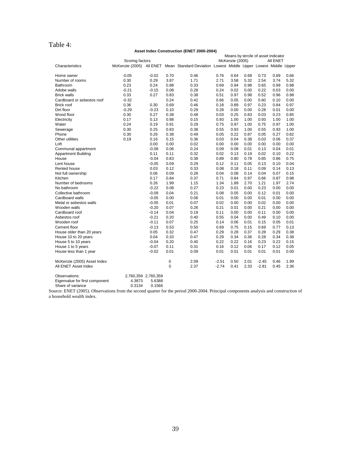### Table 4:

#### **Asset Index Construction (ENET 2000-2004)**

|                                |                 |                     | Means by tercile of asset indicator |                                                                                          |         |                 |      |         |          |      |
|--------------------------------|-----------------|---------------------|-------------------------------------|------------------------------------------------------------------------------------------|---------|-----------------|------|---------|----------|------|
|                                | Scoring factors |                     |                                     |                                                                                          |         | McKenzie (2005) |      |         | All ENET |      |
| Characteristics                |                 |                     |                                     | McKenzie (2005) All ENET Mean Standard Deviation Lowest Middle Upper Lowest Middle Upper |         |                 |      |         |          |      |
| Home owner                     | $-0.05$         | $-0.02$             | 0.70                                | 0.46                                                                                     | 0.76    | 0.64            | 0.68 | 0.73    | 0.69     | 0.66 |
| Number of rooms                | 0.30            | 0.29                | 3.87                                | 1.71                                                                                     | 2.71    | 3.58            | 5.32 | 2.54    | 3.74     | 5.32 |
| Bathroom                       | 0.23            | 0.24                | 0.88                                | 0.33                                                                                     | 0.69    | 0.94            | 0.98 | 0.65    | 0.99     | 0.98 |
| Adobe walls                    | $-0.21$         | $-0.15$             | 0.08                                | 0.28                                                                                     | 0.24    | 0.02            | 0.00 | 0.22    | 0.03     | 0.00 |
| <b>Brick walls</b>             | 0.33            | 0.27                | 0.83                                | 0.38                                                                                     | 0.51    | 0.97            | 0.98 | 0.52    | 0.96     | 0.98 |
| Cardboard or asbestos roof     | $-0.32$         |                     | 0.24                                | 0.42                                                                                     | 0.66    | 0.05            | 0.00 | 0.60    | 0.10     | 0.00 |
| <b>Brick roof</b>              | 0.36            | 0.30                | 0.69                                | 0.46                                                                                     | 0.18    | 0.89            | 0.97 | 0.23    | 0.84     | 0.97 |
| Dirt floor                     | $-0.29$         | $-0.23$             | 0.10                                | 0.29                                                                                     | 0.28    | 0.00            | 0.00 | 0.28    | 0.01     | 0.00 |
| Wood floor                     | 0.30            | 0.27                | 0.38                                | 0.48                                                                                     | 0.03    | 0.25            | 0.83 | 0.03    | 0.23     | 0.85 |
| Electricity                    | 0.17            | 0.13                | 0.98                                | 0.15                                                                                     | 0.93    | 1.00            | 1.00 | 0.93    | 1.00     | 1.00 |
| Water                          | 0.24            | 0.19                | 0.91                                | 0.29                                                                                     | 0.75    | 0.97            | 1.00 | 0.75    | 0.97     | 1.00 |
| Sewerage                       | 0.30            | 0.25                | 0.83                                | 0.38                                                                                     | 0.55    | 0.93            | 1.00 | 0.55    | 0.93     | 1.00 |
| Phone                          | 0.30            | 0.26                | 0.38                                | 0.49                                                                                     | 0.05    | 0.22            | 0.87 | 0.05    | 0.27     | 0.82 |
| Other utilities                | 0.19            | 0.16                | 0.15                                | 0.36                                                                                     | 0.03    | 0.04            | 0.38 | 0.03    | 0.06     | 0.37 |
| Loft                           |                 | 0.00                | 0.00                                | 0.02                                                                                     | 0.00    | 0.00            | 0.00 | 0.00    | 0.00     | 0.00 |
| Communal appartment            |                 | $-0.08$             | 0.06                                | 0.24                                                                                     | 0.09    | 0.08            | 0.01 | 0.13    | 0.04     | 0.01 |
| <b>Appartment Building</b>     |                 | 0.11                | 0.11                                | 0.32                                                                                     | 0.02    | 0.13            | 0.19 | 0.02    | 0.10     | 0.22 |
| House                          |                 | $-0.04$             | 0.83                                | 0.38                                                                                     | 0.89    | 0.80            | 0.78 | 0.85    | 0.86     | 0.75 |
| Lent house                     |                 | $-0.05$             | 0.09                                | 0.29                                                                                     | 0.12    | 0.11            | 0.05 | 0.13    | 0.10     | 0.04 |
| Rented house                   |                 | 0.03                | 0.12                                | 0.33                                                                                     | 0.08    | 0.18            | 0.11 | 0.09    | 0.14     | 0.13 |
| Not full ownership             |                 | 0.06                | 0.09                                | 0.28                                                                                     | 0.04    | 0.08            | 0.14 | 0.04    | 0.07     | 0.15 |
| Kitchen                        |                 | 0.17                | 0.84                                | 0.37                                                                                     | 0.71    | 0.84            | 0.97 | 0.66    | 0.87     | 0.98 |
| Number of bedrooms             |                 | 0.26                | 1.99                                | 1.15                                                                                     | 1.34    | 1.89            | 2.70 | 1.21    | 1.97     | 2.74 |
| No bathroom                    |                 | $-0.22$             | 0.08                                | 0.27                                                                                     | 0.23    | 0.01            | 0.00 | 0.23    | 0.00     | 0.00 |
| Collective bathroom            |                 | $-0.09$             | 0.04                                | 0.21                                                                                     | 0.08    | 0.05            | 0.00 | 0.12    | 0.01     | 0.00 |
| Cardboard walls                |                 | $-0.05$             | 0.00                                | 0.06                                                                                     | 0.01    | 0.00            | 0.00 | 0.01    | 0.00     | 0.00 |
| Metal or asbestos walls        |                 | $-0.05$             | 0.01                                | 0.07                                                                                     | 0.02    | 0.00            | 0.00 | 0.02    | 0.00     | 0.00 |
| Wooden walls                   |                 | $-0.20$             | 0.07                                | 0.26                                                                                     | 0.21    | 0.01            | 0.00 | 0.21    | 0.00     | 0.00 |
| Cardboard roof                 |                 | $-0.14$             | 0.04                                | 0.19                                                                                     | 0.11    | 0.00            | 0.00 | 0.11    | 0.00     | 0.00 |
| Asbestos roof                  |                 | $-0.21$             | 0.20                                | 0.40                                                                                     | 0.55    | 0.04            | 0.00 | 0.49    | 0.10     | 0.00 |
| Wooden roof                    |                 | $-0.11$             | 0.07                                | 0.25                                                                                     | 0.14    | 0.06            | 0.01 | 0.15    | 0.05     | 0.01 |
| Cement floor                   |                 | $-0.13$             | 0.53                                | 0.50                                                                                     | 0.69    | 0.75            | 0.15 | 0.69    | 0.77     | 0.13 |
| House older than 20 years      |                 | 0.05                | 0.32                                | 0.47                                                                                     | 0.29    | 0.28            | 0.37 | 0.28    | 0.29     | 0.38 |
| House 10 to 20 years           |                 | 0.04                | 0.33                                | 0.47                                                                                     | 0.29    | 0.34            | 0.36 | 0.28    | 0.34     | 0.38 |
| House 5 to 10 years            |                 | $-0.04$             | 0.20                                | 0.40                                                                                     | 0.22    | 0.22            | 0.16 | 0.23    | 0.22     | 0.15 |
| House 1 to 5 years             |                 | $-0.07$             | 0.11                                | 0.31                                                                                     | 0.16    | 0.12            | 0.06 | 0.17    | 0.12     | 0.05 |
| House less than 1 year         |                 | $-0.02$             | 0.01                                | 0.09                                                                                     | 0.01    | 0.01            | 0.01 | 0.01    | 0.01     | 0.00 |
| McKenzie (2005) Asset Index    |                 |                     | 0                                   | 2.09                                                                                     | $-2.51$ | 0.50            | 2.01 | $-2.45$ | 0.46     | 1.99 |
| All ENET Asset Index           |                 |                     | $\mathbf 0$                         | 2.37                                                                                     | $-2.74$ | 0.41            | 2.33 | $-2.81$ | 0.45     | 2.36 |
| Observations:                  |                 | 2,760,359 2,760,359 |                                     |                                                                                          |         |                 |      |         |          |      |
| Eigenvalue for first component | 4.3873          | 5.6388              |                                     |                                                                                          |         |                 |      |         |          |      |

Share of variance 0.3134 0.1566

Source: ENET (2005). Observations from the second quarter for the period 2000-2004. Principal components analysis and construction of a household wealth index.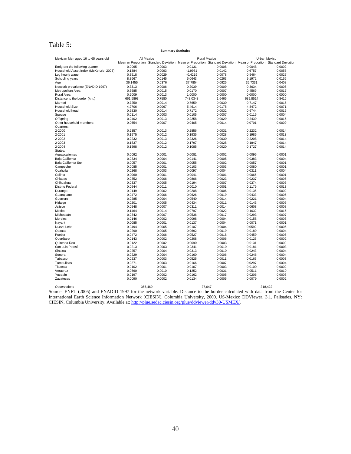### Table 5:

#### **Summary Statistics**

| Mexican Men aged 16 to 65 years old                                                                                           |          | All Mexico |                                                                                                                   | Rural Mexico |          | Urban Mexico |  |  |
|-------------------------------------------------------------------------------------------------------------------------------|----------|------------|-------------------------------------------------------------------------------------------------------------------|--------------|----------|--------------|--|--|
|                                                                                                                               |          |            | Mean or Proportion Standard Deviation Mean or Proportion Standard Deviation Mean or Proportion Standard Deviation |              |          |              |  |  |
| Emigrant the following quarter                                                                                                | 0.0065   | 0.0003     | 0.0131                                                                                                            | 0.0008       | 0.0048   | 0.0002       |  |  |
| Household Asset Index (McKenzie, 2005)                                                                                        | 0.1384   | 0.0063     | $-1.9981$                                                                                                         | 0.0142       | 0.6757   | 0.0055       |  |  |
| Log hourly wage                                                                                                               | 0.3518   | 0.0029     | $-0.4219$                                                                                                         | 0.0078       | 0.5464   | 0.0027       |  |  |
| Schooling years                                                                                                               | 8.3667   | 0.0145     | 5.0643                                                                                                            | 0.0263       | 9.1972   | 0.0155       |  |  |
| Age                                                                                                                           | 36.1455  | 0.0376     | 37.7854                                                                                                           | 0.0925       | 35.7331  | 0.0408       |  |  |
| Network prevalence (ENADID 1997)                                                                                              | 0.3313   | 0.0006     | 0.2039                                                                                                            | 0.0009       | 0.3634   | 0.0006       |  |  |
| Metropolitan Area                                                                                                             | 0.3685   | 0.0015     | 0.0170                                                                                                            | 0.0007       | 0.4569   | 0.0017       |  |  |
| Rural Area                                                                                                                    | 0.2009   | 0.0013     | 1.0000                                                                                                            | 0.0000       | 0.0000   | 0.0000       |  |  |
| Distance to the border (km.)                                                                                                  | 661.5893 | 0.7580     | 748.0348                                                                                                          | 1.6465       | 639.8514 | 0.8416       |  |  |
| Married                                                                                                                       | 0.7250   | 0.0014     | 0.7659                                                                                                            | 0.0030       | 0.7147   | 0.0015       |  |  |
| Household Size                                                                                                                | 4.9706   | 0.0067     | 5.4614                                                                                                            | 0.0175       | 4.8472   | 0.0071       |  |  |
| Household head                                                                                                                | 0.6830   | 0.0014     | 0.7172                                                                                                            | 0.0032       | 0.6744   | 0.0016       |  |  |
|                                                                                                                               |          |            |                                                                                                                   |              |          |              |  |  |
| Spouse                                                                                                                        | 0.0114   | 0.0003     | 0.0105                                                                                                            | 0.0007       | 0.0116   | 0.0004       |  |  |
| Offspring                                                                                                                     | 0.2402   | 0.0013     | 0.2258                                                                                                            | 0.0029       | 0.2439   | 0.0015       |  |  |
| Other household members                                                                                                       | 0.0654   | 0.0007     | 0.0465                                                                                                            | 0.0014       | 0.0701   | 0.0009       |  |  |
| Quarters:                                                                                                                     |          |            |                                                                                                                   |              |          |              |  |  |
| 2-2000                                                                                                                        | 0.2357   | 0.0013     | 0.2856                                                                                                            | 0.0031       | 0.2232   | 0.0014       |  |  |
| 2-2001                                                                                                                        | 0.1975   | 0.0012     | 0.1935                                                                                                            | 0.0028       | 0.1986   | 0.0013       |  |  |
| 2-2002                                                                                                                        | 0.2232   | 0.0013     | 0.2326                                                                                                            | 0.0030       | 0.2208   | 0.0014       |  |  |
| 2-2003                                                                                                                        | 0.1837   | 0.0012     | 0.1797                                                                                                            | 0.0028       | 0.1847   | 0.0014       |  |  |
| 2-2004                                                                                                                        | 0.1598   | 0.0012     | 0.1085                                                                                                            | 0.0020       | 0.1727   | 0.0014       |  |  |
| States:                                                                                                                       |          |            |                                                                                                                   |              |          |              |  |  |
| Aguascalientes                                                                                                                | 0.0092   | 0.0001     | 0.0081                                                                                                            | 0.0002       | 0.0095   | 0.0001       |  |  |
| Baja California                                                                                                               | 0.0334   | 0.0004     | 0.0141                                                                                                            | 0.0005       | 0.0383   | 0.0004       |  |  |
| Baja California Sur                                                                                                           | 0.0057   | 0.0001     | 0.0055                                                                                                            | 0.0002       | 0.0057   | 0.0001       |  |  |
| Campeche                                                                                                                      | 0.0085   | 0.0001     | 0.0103                                                                                                            | 0.0003       | 0.0080   | 0.0001       |  |  |
| Coahuila                                                                                                                      | 0.0268   | 0.0003     | 0.0097                                                                                                            | 0.0004       | 0.0311   | 0.0004       |  |  |
| Colima                                                                                                                        | 0.0060   | 0.0001     | 0.0041                                                                                                            | 0.0001       | 0.0065   | 0.0001       |  |  |
| Chiapas                                                                                                                       | 0.0352   | 0.0006     | 0.0806                                                                                                            | 0.0023       | 0.0237   | 0.0005       |  |  |
| Chihuahua                                                                                                                     | 0.0337   | 0.0005     | 0.0194                                                                                                            | 0.0007       | 0.0374   | 0.0006       |  |  |
| <b>Distrito Federal</b>                                                                                                       | 0.0944   | 0.0011     | 0.0010                                                                                                            | 0.0001       | 0.1179   | 0.0013       |  |  |
| Durango                                                                                                                       | 0.0149   | 0.0002     | 0.0208                                                                                                            | 0.0006       | 0.0135   | 0.0002       |  |  |
|                                                                                                                               | 0.0472   |            |                                                                                                                   |              | 0.0433   |              |  |  |
| Guanajuato                                                                                                                    |          | 0.0006     | 0.0626                                                                                                            | 0.0019       |          | 0.0005       |  |  |
| Guerrero                                                                                                                      | 0.0285   | 0.0004     | 0.0540                                                                                                            | 0.0014       | 0.0221   | 0.0004       |  |  |
| Hidalgo                                                                                                                       | 0.0201   | 0.0005     | 0.0434                                                                                                            | 0.0011       | 0.0143   | 0.0005       |  |  |
| Jalisco                                                                                                                       | 0.0548   | 0.0007     | 0.0311                                                                                                            | 0.0014       | 0.0608   | 0.0008       |  |  |
| México                                                                                                                        | 0.1464   | 0.0014     | 0.0797                                                                                                            | 0.0022       | 0.1632   | 0.0016       |  |  |
| Michoacán                                                                                                                     | 0.0342   | 0.0007     | 0.0536                                                                                                            | 0.0017       | 0.0293   | 0.0007       |  |  |
| Morelos                                                                                                                       | 0.0146   | 0.0002     | 0.0098                                                                                                            | 0.0004       | 0.0158   | 0.0003       |  |  |
| Nayarit                                                                                                                       | 0.0085   | 0.0001     | 0.0137                                                                                                            | 0.0004       | 0.0071   | 0.0001       |  |  |
| Nuevo León                                                                                                                    | 0.0494   | 0.0005     | 0.0107                                                                                                            | 0.0004       | 0.0592   | 0.0006       |  |  |
| Oaxaca                                                                                                                        | 0.0290   | 0.0005     | 0.0692                                                                                                            | 0.0019       | 0.0189   | 0.0004       |  |  |
| Puebla                                                                                                                        | 0.0472   | 0.0006     | 0.0527                                                                                                            | 0.0018       | 0.0459   | 0.0006       |  |  |
| Querétaro                                                                                                                     | 0.0143   | 0.0002     | 0.0208                                                                                                            | 0.0006       | 0.0126   | 0.0002       |  |  |
| Quintana Roo                                                                                                                  | 0.0122   | 0.0002     | 0.0090                                                                                                            | 0.0003       | 0.0131   | 0.0002       |  |  |
| San Luis Potosí                                                                                                               | 0.0213   | 0.0003     | 0.0341                                                                                                            | 0.0010       | 0.0181   | 0.0003       |  |  |
| Sinaloa                                                                                                                       | 0.0257   | 0.0004     | 0.0313                                                                                                            | 0.0010       | 0.0243   | 0.0004       |  |  |
| Sonora                                                                                                                        | 0.0229   | 0.0004     | 0.0160                                                                                                            | 0.0006       | 0.0246   | 0.0004       |  |  |
| Tabasco                                                                                                                       | 0.0237   | 0.0003     | 0.0525                                                                                                            | 0.0011       | 0.0165   | 0.0003       |  |  |
| Tamaulipas                                                                                                                    | 0.0271   | 0.0003     | 0.0166                                                                                                            | 0.0007       | 0.0297   | 0.0004       |  |  |
| Tlaxcala                                                                                                                      | 0.0102   | 0.0001     | 0.0107                                                                                                            | 0.0003       | 0.0100   | 0.0002       |  |  |
| Veracruz                                                                                                                      | 0.0660   | 0.0010     | 0.1252                                                                                                            | 0.0031       | 0.0511   | 0.0010       |  |  |
| Yucatán                                                                                                                       | 0.0197   | 0.0002     | 0.0162                                                                                                            | 0.0005       | 0.0206   | 0.0003       |  |  |
| Zacatecas                                                                                                                     | 0.0090   | 0.0002     | 0.0134                                                                                                            | 0.0005       | 0.0079   | 0.0002       |  |  |
|                                                                                                                               |          |            |                                                                                                                   |              |          |              |  |  |
|                                                                                                                               |          |            |                                                                                                                   |              |          |              |  |  |
| Observations                                                                                                                  |          | 355,469    |                                                                                                                   | 37,047       |          | 318,422      |  |  |
| Source: ENET (2005) and ENADID 1997 for the network variable. Distance to the border calculated with data from the Center for |          |            |                                                                                                                   |              |          |              |  |  |

International Earth Science Information Network (CIESIN), Columbia University, 2000. US-Mexico DDViewer, 3.1. Palisades, NY: CIESIN, Columbia University. Available at: http://plue.sedac.ciesin.org/plue/ddviewer/ddv30-USMEX/.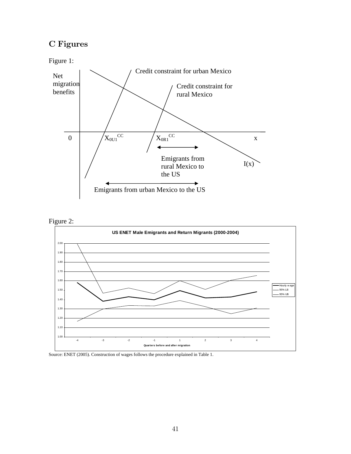# C Figures

Figure 1:







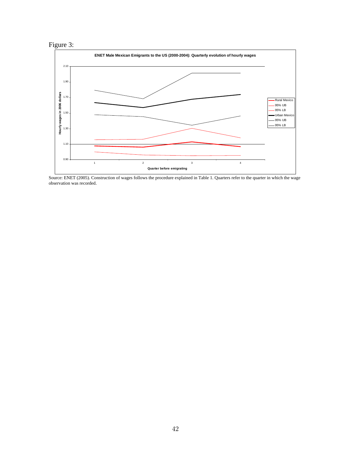



Source: ENET (2005). Construction of wages follows the procedure explained in Table 1. Quarters refer to the quarter in which the wage observation was recorded.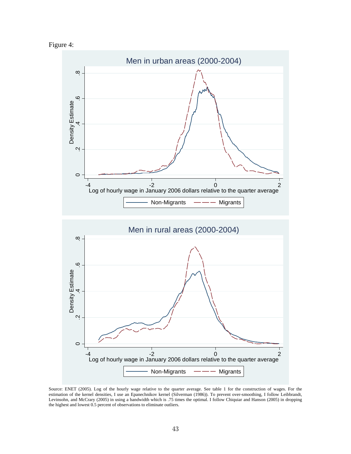



Source: ENET (2005). Log of the hourly wage relative to the quarter average. See table 1 for the construction of wages. For the estimation of the kernel densities, I use an Epanechnikov kernel (Silverman (1986)). To prevent over-smoothing, I follow Leibbrandt, Levinsohn, and McCrary (2005) in using a bandwidth which is .75 times the optimal. I follow Chiquiar and Hanson (2005) in dropping the highest and lowest 0.5 percent of observations to eliminate outliers.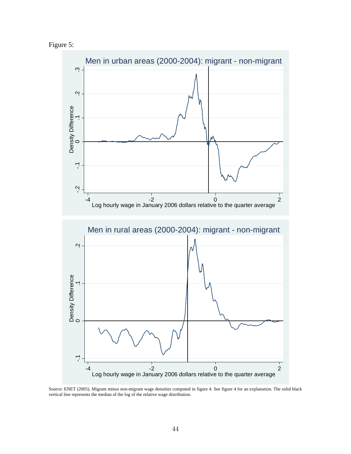



Source: ENET (2005). Migrant minus non-migrant wage densities computed in figure 4. See figure 4 for an explanation. The solid black vertical line represents the median of the log of the relative wage distribution.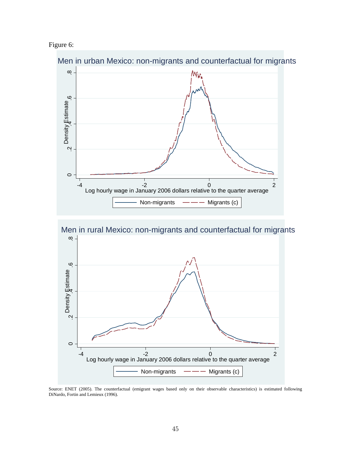





Source: ENET (2005). The counterfactual (emigrant wages based only on their observable characteristics) is estimated following DiNardo, Fortin and Lemieux (1996).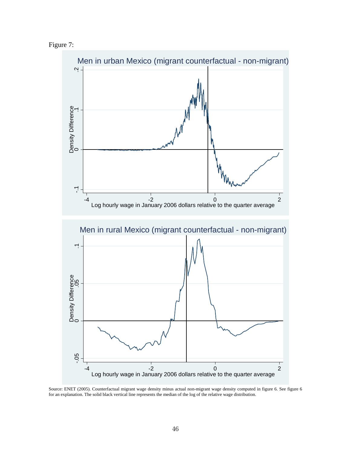Figure 7:



Source: ENET (2005). Counterfactual migrant wage density minus actual non-migrant wage density computed in figure 6. See figure 6 for an explanation. The solid black vertical line represents the median of the log of the relative wage distribution.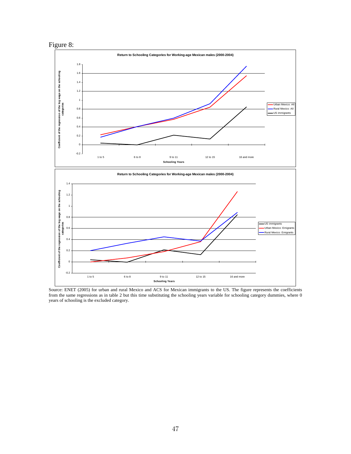



Source: ENET (2005) for urban and rural Mexico and ACS for Mexican immigrants to the US. The figure represents the coefficients from the same regressions as in table 2 but this time substituting the schooling years variable for schooling category dummies, where 0 years of schooling is the excluded category.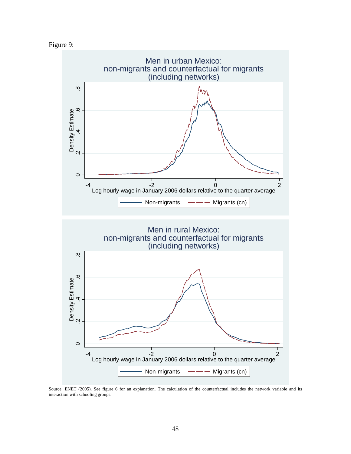



Source: ENET (2005). See figure 6 for an explanation. The calculation of the counterfactual includes the network variable and its interaction with schooling groups.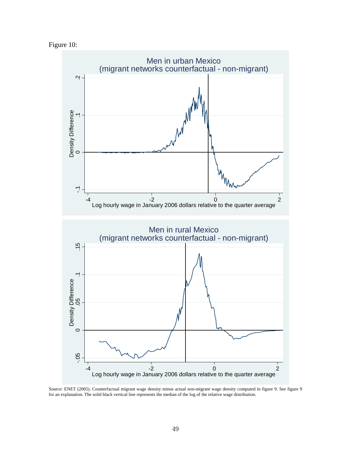



Source: ENET (2005). Counterfactual migrant wage density minus actual non-migrant wage density computed in figure 9. See figure 9 for an explanation. The solid black vertical line represents the median of the log of the relative wage distribution.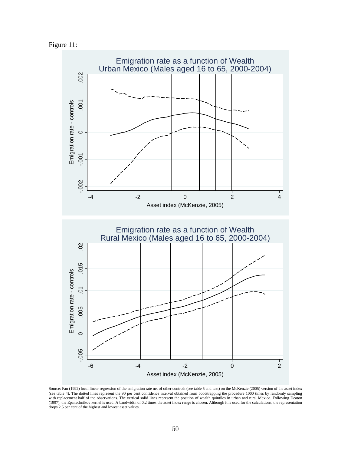Figure 11:



Source: Fan (1992) local linear regression of the emigration rate net of other controls (see table 5 and text) on the McKenzie (2005) version of the asset index (see table 4). The dotted lines represent the 90 per cent confidence interval obtained from bootstrapping the procedure 1000 times by randomly sampling with replacement half of the observations. The vertical solid lines represent the position of wealth quintiles in urban and rural Mexico. Following Deaton (1997), the Epanechnikov kernel is used. A bandwidth of 0.2 times the asset index range is chosen. Although it is used for the calculations, the representation drops 2.5 per cent of the highest and lowest asset values.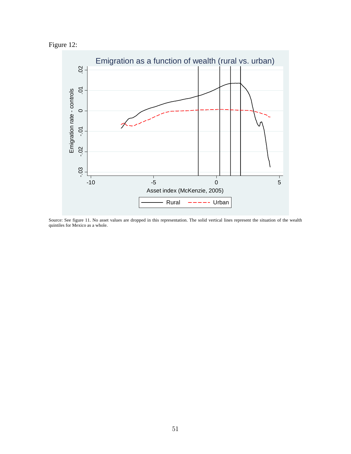



Source: See figure 11. No asset values are dropped in this representation. The solid vertical lines represent the situation of the wealth quintiles for Mexico as a whole.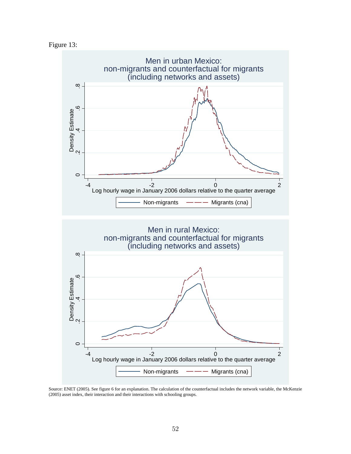



Source: ENET (2005). See figure 6 for an explanation. The calculation of the counterfactual includes the network variable, the McKenzie (2005) asset index, their interaction and their interactions with schooling groups.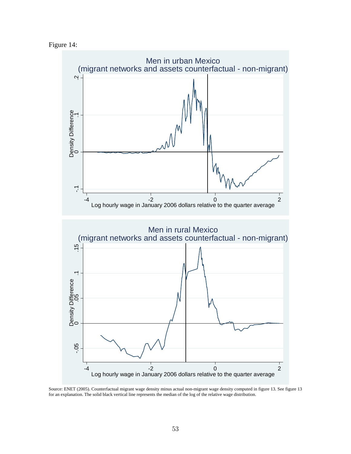Figure 14:



Source: ENET (2005). Counterfactual migrant wage density minus actual non-migrant wage density computed in figure 13. See figure 13 for an explanation. The solid black vertical line represents the median of the log of the relative wage distribution.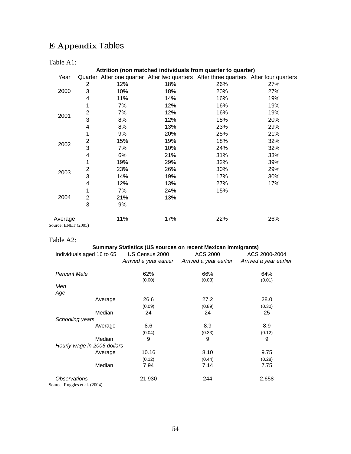# E Appendix Tables

### Table A1:

|                                |                |     |     | Attrition (non matched individuals from quarter to quarter)                           |     |
|--------------------------------|----------------|-----|-----|---------------------------------------------------------------------------------------|-----|
| Year                           |                |     |     | Quarter After one quarter After two quarters After three quarters After four quarters |     |
|                                | 2              | 12% | 18% | 26%                                                                                   | 27% |
| 2000                           | 3              | 10% | 18% | 20%                                                                                   | 27% |
|                                | 4              | 11% | 14% | 16%                                                                                   | 19% |
|                                | 1              | 7%  | 12% | 16%                                                                                   | 19% |
|                                | $\overline{2}$ | 7%  | 12% | 16%                                                                                   | 19% |
| 2001                           | 3              | 8%  | 12% | 18%                                                                                   | 20% |
|                                | 4              | 8%  | 13% | 23%                                                                                   | 29% |
|                                | 1              | 9%  | 20% | 25%                                                                                   | 21% |
| 2002                           | $\overline{2}$ | 15% | 19% | 18%                                                                                   | 32% |
|                                | 3              | 7%  | 10% | 24%                                                                                   | 32% |
|                                | 4              | 6%  | 21% | 31%                                                                                   | 33% |
|                                | 1              | 19% | 29% | 32%                                                                                   | 39% |
| 2003                           | $\overline{c}$ | 23% | 26% | 30%                                                                                   | 29% |
|                                | 3              | 14% | 19% | 17%                                                                                   | 30% |
|                                | 4              | 12% | 13% | 27%                                                                                   | 17% |
|                                | 1              | 7%  | 24% | 15%                                                                                   |     |
| 2004                           | $\overline{2}$ | 21% | 13% |                                                                                       |     |
|                                | 3              | 9%  |     |                                                                                       |     |
| Average<br>Source: ENET (2005) |                | 11% | 17% | 22%                                                                                   | 26% |

### Table A2:

### **Summary Statistics (US sources on recent Mexican immigrants)**

| Individuals aged 16 to 65     |         | US Census 2000         | ACS 2000               | ACS 2000-2004          |
|-------------------------------|---------|------------------------|------------------------|------------------------|
|                               |         | Arrived a year earlier | Arrived a year earlier | Arrived a year earlier |
| Percent Male                  |         | 62%                    | 66%                    | 64%                    |
|                               |         | (0.00)                 | (0.03)                 | (0.01)                 |
| Men                           |         |                        |                        |                        |
| Age                           |         |                        |                        |                        |
|                               | Average | 26.6                   | 27.2                   | 28.0                   |
|                               |         | (0.09)                 | (0.89)                 | (0.30)                 |
|                               | Median  | 24                     | 24                     | 25                     |
| Schooling years               |         |                        |                        |                        |
|                               | Average | 8.6                    | 8.9                    | 8.9                    |
|                               |         | (0.04)                 | (0.33)                 | (0.12)                 |
|                               | Median  | 9                      | 9                      | 9                      |
| Hourly wage in 2006 dollars   |         |                        |                        |                        |
|                               | Average | 10.16                  | 8.10                   | 9.75                   |
|                               |         | (0.12)                 | (0.44)                 | (0.28)                 |
|                               | Median  | 7.94                   | 7.14                   | 7.75                   |
| <i><b>Observations</b></i>    |         | 21,930                 | 244                    | 2,658                  |
| Source: Ruggles et al. (2004) |         |                        |                        |                        |